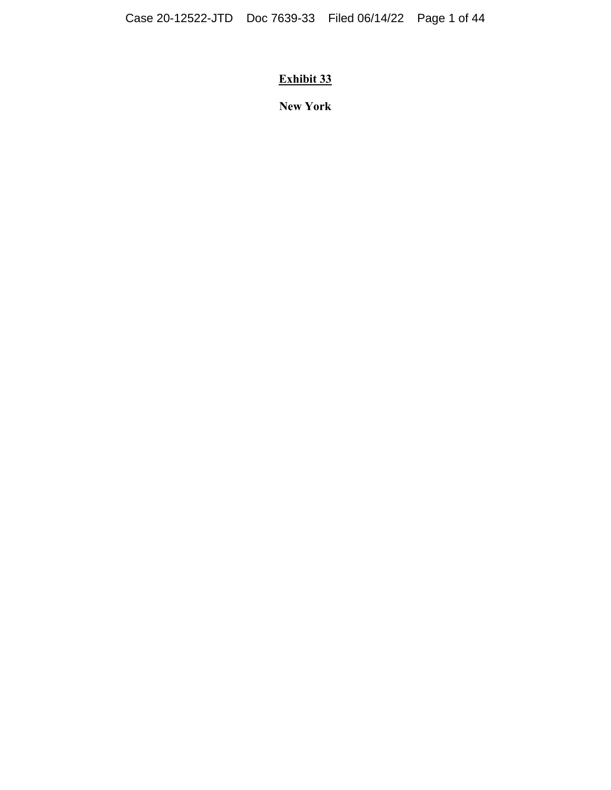# **Exhibit 33**

**New York**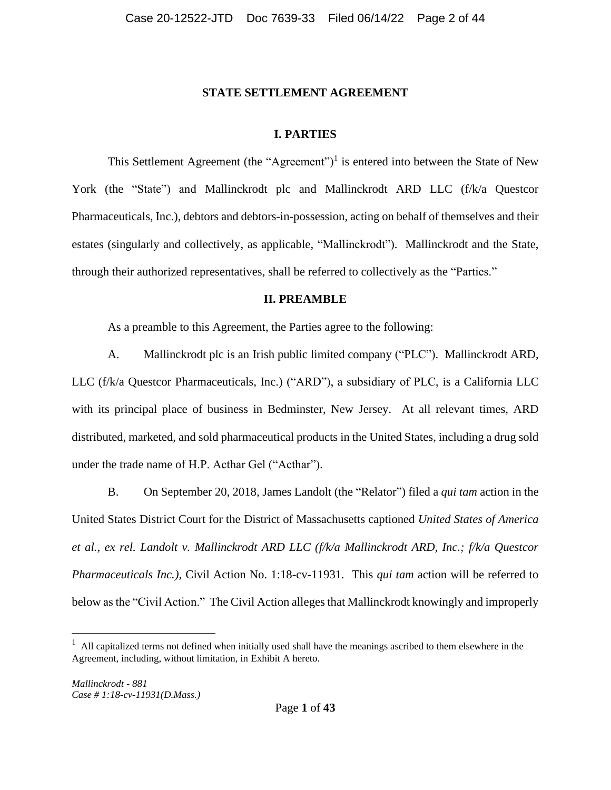#### **STATE SETTLEMENT AGREEMENT**

# **I. PARTIES**

This Settlement Agreement (the "Agreement")<sup>1</sup> is entered into between the State of New York (the "State") and Mallinckrodt plc and Mallinckrodt ARD LLC (f/k/a Questcor Pharmaceuticals, Inc.), debtors and debtors-in-possession, acting on behalf of themselves and their estates (singularly and collectively, as applicable, "Mallinckrodt"). Mallinckrodt and the State, through their authorized representatives, shall be referred to collectively as the "Parties."

### **II. PREAMBLE**

As a preamble to this Agreement, the Parties agree to the following:

A. Mallinckrodt plc is an Irish public limited company ("PLC"). Mallinckrodt ARD, LLC (f/k/a Questcor Pharmaceuticals, Inc.) ("ARD"), a subsidiary of PLC, is a California LLC with its principal place of business in Bedminster, New Jersey. At all relevant times, ARD distributed, marketed, and sold pharmaceutical products in the United States, including a drug sold under the trade name of H.P. Acthar Gel ("Acthar").

B. On September 20, 2018*,* James Landolt (the "Relator") filed a *qui tam* action in the United States District Court for the District of Massachusetts captioned *United States of America et al., ex rel. Landolt v. Mallinckrodt ARD LLC (f/k/a Mallinckrodt ARD, Inc.; f/k/a Questcor Pharmaceuticals Inc.),* Civil Action No. 1:18-cv-11931*.* This *qui tam* action will be referred to below as the "Civil Action." The Civil Action alleges that Mallinckrodt knowingly and improperly

 $<sup>1</sup>$  All capitalized terms not defined when initially used shall have the meanings ascribed to them elsewhere in the</sup> Agreement, including, without limitation, in Exhibit A hereto.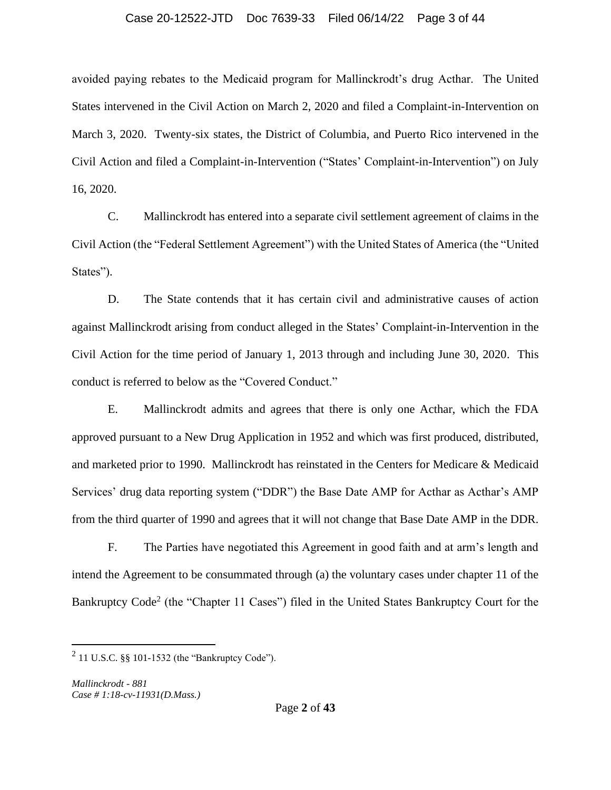## Case 20-12522-JTD Doc 7639-33 Filed 06/14/22 Page 3 of 44

avoided paying rebates to the Medicaid program for Mallinckrodt's drug Acthar. The United States intervened in the Civil Action on March 2, 2020 and filed a Complaint-in-Intervention on March 3, 2020. Twenty-six states, the District of Columbia, and Puerto Rico intervened in the Civil Action and filed a Complaint-in-Intervention ("States' Complaint-in-Intervention") on July 16, 2020.

C. Mallinckrodt has entered into a separate civil settlement agreement of claims in the Civil Action (the "Federal Settlement Agreement") with the United States of America (the "United States").

D. The State contends that it has certain civil and administrative causes of action against Mallinckrodt arising from conduct alleged in the States' Complaint-in-Intervention in the Civil Action for the time period of January 1, 2013 through and including June 30, 2020. This conduct is referred to below as the "Covered Conduct."

E. Mallinckrodt admits and agrees that there is only one Acthar, which the FDA approved pursuant to a New Drug Application in 1952 and which was first produced, distributed, and marketed prior to 1990. Mallinckrodt has reinstated in the Centers for Medicare & Medicaid Services' drug data reporting system ("DDR") the Base Date AMP for Acthar as Acthar's AMP from the third quarter of 1990 and agrees that it will not change that Base Date AMP in the DDR.

F. The Parties have negotiated this Agreement in good faith and at arm's length and intend the Agreement to be consummated through (a) the voluntary cases under chapter 11 of the Bankruptcy Code<sup>2</sup> (the "Chapter 11 Cases") filed in the United States Bankruptcy Court for the

 $^{2}$  11 U.S.C. §§ 101-1532 (the "Bankruptcy Code").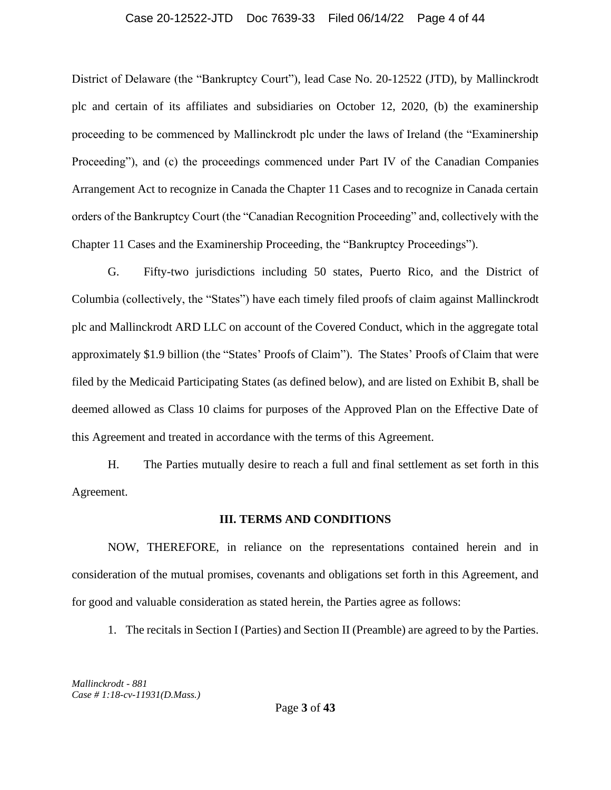#### Case 20-12522-JTD Doc 7639-33 Filed 06/14/22 Page 4 of 44

District of Delaware (the "Bankruptcy Court"), lead Case No. 20-12522 (JTD), by Mallinckrodt plc and certain of its affiliates and subsidiaries on October 12, 2020, (b) the examinership proceeding to be commenced by Mallinckrodt plc under the laws of Ireland (the "Examinership Proceeding"), and (c) the proceedings commenced under Part IV of the Canadian Companies Arrangement Act to recognize in Canada the Chapter 11 Cases and to recognize in Canada certain orders of the Bankruptcy Court (the "Canadian Recognition Proceeding" and, collectively with the Chapter 11 Cases and the Examinership Proceeding, the "Bankruptcy Proceedings").

G. Fifty-two jurisdictions including 50 states, Puerto Rico, and the District of Columbia (collectively, the "States") have each timely filed proofs of claim against Mallinckrodt plc and Mallinckrodt ARD LLC on account of the Covered Conduct, which in the aggregate total approximately \$1.9 billion (the "States' Proofs of Claim"). The States' Proofs of Claim that were filed by the Medicaid Participating States (as defined below), and are listed on Exhibit B, shall be deemed allowed as Class 10 claims for purposes of the Approved Plan on the Effective Date of this Agreement and treated in accordance with the terms of this Agreement.

H. The Parties mutually desire to reach a full and final settlement as set forth in this Agreement.

#### **III. TERMS AND CONDITIONS**

NOW, THEREFORE, in reliance on the representations contained herein and in consideration of the mutual promises, covenants and obligations set forth in this Agreement, and for good and valuable consideration as stated herein, the Parties agree as follows:

1. The recitals in Section I (Parties) and Section II (Preamble) are agreed to by the Parties.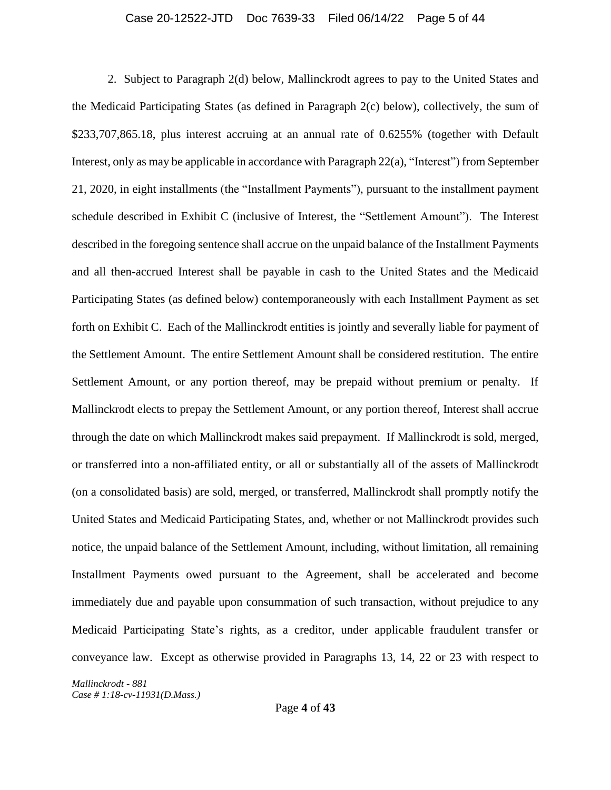# Case 20-12522-JTD Doc 7639-33 Filed 06/14/22 Page 5 of 44

2. Subject to Paragraph 2(d) below, Mallinckrodt agrees to pay to the United States and the Medicaid Participating States (as defined in Paragraph 2(c) below), collectively, the sum of \$233,707,865.18, plus interest accruing at an annual rate of 0.6255% (together with Default Interest, only as may be applicable in accordance with Paragraph 22(a), "Interest") from September 21, 2020, in eight installments (the "Installment Payments"), pursuant to the installment payment schedule described in Exhibit C (inclusive of Interest, the "Settlement Amount"). The Interest described in the foregoing sentence shall accrue on the unpaid balance of the Installment Payments and all then-accrued Interest shall be payable in cash to the United States and the Medicaid Participating States (as defined below) contemporaneously with each Installment Payment as set forth on Exhibit C. Each of the Mallinckrodt entities is jointly and severally liable for payment of the Settlement Amount. The entire Settlement Amount shall be considered restitution. The entire Settlement Amount, or any portion thereof, may be prepaid without premium or penalty. If Mallinckrodt elects to prepay the Settlement Amount, or any portion thereof, Interest shall accrue through the date on which Mallinckrodt makes said prepayment. If Mallinckrodt is sold, merged, or transferred into a non-affiliated entity, or all or substantially all of the assets of Mallinckrodt (on a consolidated basis) are sold, merged, or transferred, Mallinckrodt shall promptly notify the United States and Medicaid Participating States, and, whether or not Mallinckrodt provides such notice, the unpaid balance of the Settlement Amount, including, without limitation, all remaining Installment Payments owed pursuant to the Agreement, shall be accelerated and become immediately due and payable upon consummation of such transaction, without prejudice to any Medicaid Participating State's rights, as a creditor, under applicable fraudulent transfer or conveyance law. Except as otherwise provided in Paragraphs 13, 14, 22 or 23 with respect to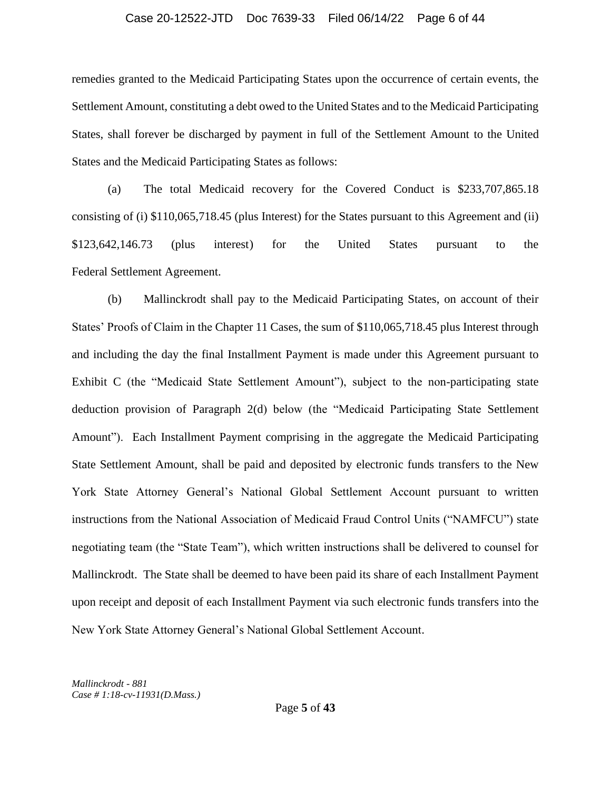#### Case 20-12522-JTD Doc 7639-33 Filed 06/14/22 Page 6 of 44

remedies granted to the Medicaid Participating States upon the occurrence of certain events, the Settlement Amount, constituting a debt owed to the United States and to the Medicaid Participating States, shall forever be discharged by payment in full of the Settlement Amount to the United States and the Medicaid Participating States as follows:

(a) The total Medicaid recovery for the Covered Conduct is \$233,707,865.18 consisting of (i) \$110,065,718.45 (plus Interest) for the States pursuant to this Agreement and (ii) \$123,642,146.73 (plus interest) for the United States pursuant to the Federal Settlement Agreement.

(b) Mallinckrodt shall pay to the Medicaid Participating States, on account of their States' Proofs of Claim in the Chapter 11 Cases, the sum of \$110,065,718.45 plus Interest through and including the day the final Installment Payment is made under this Agreement pursuant to Exhibit C (the "Medicaid State Settlement Amount"), subject to the non-participating state deduction provision of Paragraph 2(d) below (the "Medicaid Participating State Settlement Amount"). Each Installment Payment comprising in the aggregate the Medicaid Participating State Settlement Amount, shall be paid and deposited by electronic funds transfers to the New York State Attorney General's National Global Settlement Account pursuant to written instructions from the National Association of Medicaid Fraud Control Units ("NAMFCU") state negotiating team (the "State Team"), which written instructions shall be delivered to counsel for Mallinckrodt. The State shall be deemed to have been paid its share of each Installment Payment upon receipt and deposit of each Installment Payment via such electronic funds transfers into the New York State Attorney General's National Global Settlement Account.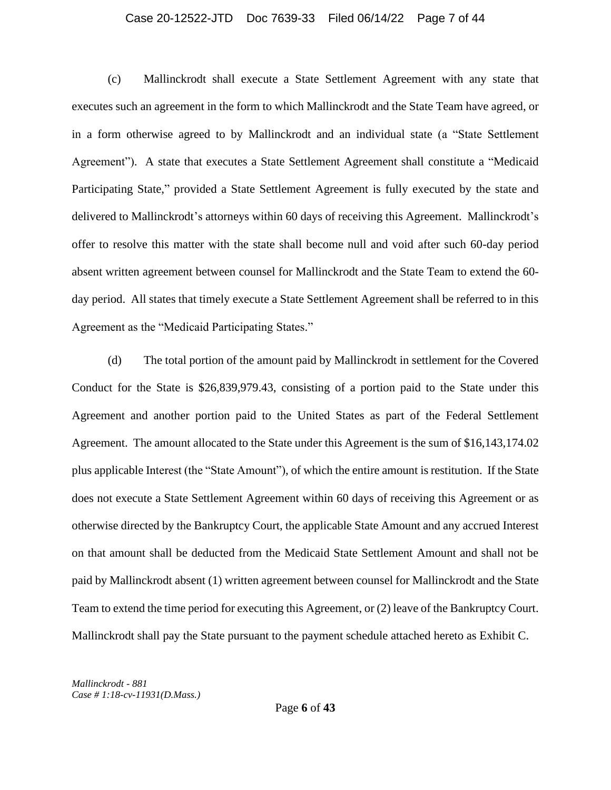#### Case 20-12522-JTD Doc 7639-33 Filed 06/14/22 Page 7 of 44

(c) Mallinckrodt shall execute a State Settlement Agreement with any state that executes such an agreement in the form to which Mallinckrodt and the State Team have agreed, or in a form otherwise agreed to by Mallinckrodt and an individual state (a "State Settlement Agreement"). A state that executes a State Settlement Agreement shall constitute a "Medicaid Participating State," provided a State Settlement Agreement is fully executed by the state and delivered to Mallinckrodt's attorneys within 60 days of receiving this Agreement. Mallinckrodt's offer to resolve this matter with the state shall become null and void after such 60-day period absent written agreement between counsel for Mallinckrodt and the State Team to extend the 60 day period. All states that timely execute a State Settlement Agreement shall be referred to in this Agreement as the "Medicaid Participating States."

(d) The total portion of the amount paid by Mallinckrodt in settlement for the Covered Conduct for the State is \$26,839,979.43, consisting of a portion paid to the State under this Agreement and another portion paid to the United States as part of the Federal Settlement Agreement. The amount allocated to the State under this Agreement is the sum of \$16,143,174.02 plus applicable Interest (the "State Amount"), of which the entire amount is restitution. If the State does not execute a State Settlement Agreement within 60 days of receiving this Agreement or as otherwise directed by the Bankruptcy Court, the applicable State Amount and any accrued Interest on that amount shall be deducted from the Medicaid State Settlement Amount and shall not be paid by Mallinckrodt absent (1) written agreement between counsel for Mallinckrodt and the State Team to extend the time period for executing this Agreement, or (2) leave of the Bankruptcy Court. Mallinckrodt shall pay the State pursuant to the payment schedule attached hereto as Exhibit C.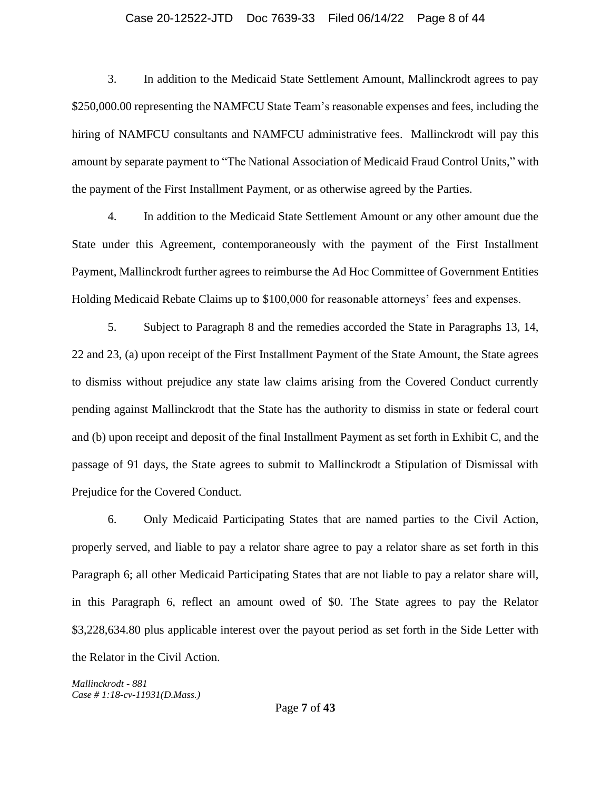# Case 20-12522-JTD Doc 7639-33 Filed 06/14/22 Page 8 of 44

3. In addition to the Medicaid State Settlement Amount, Mallinckrodt agrees to pay \$250,000.00 representing the NAMFCU State Team's reasonable expenses and fees, including the hiring of NAMFCU consultants and NAMFCU administrative fees. Mallinckrodt will pay this amount by separate payment to "The National Association of Medicaid Fraud Control Units," with the payment of the First Installment Payment, or as otherwise agreed by the Parties.

4. In addition to the Medicaid State Settlement Amount or any other amount due the State under this Agreement, contemporaneously with the payment of the First Installment Payment, Mallinckrodt further agrees to reimburse the Ad Hoc Committee of Government Entities Holding Medicaid Rebate Claims up to \$100,000 for reasonable attorneys' fees and expenses.

5. Subject to Paragraph 8 and the remedies accorded the State in Paragraphs 13, 14, 22 and 23, (a) upon receipt of the First Installment Payment of the State Amount, the State agrees to dismiss without prejudice any state law claims arising from the Covered Conduct currently pending against Mallinckrodt that the State has the authority to dismiss in state or federal court and (b) upon receipt and deposit of the final Installment Payment as set forth in Exhibit C, and the passage of 91 days, the State agrees to submit to Mallinckrodt a Stipulation of Dismissal with Prejudice for the Covered Conduct.

6. Only Medicaid Participating States that are named parties to the Civil Action, properly served, and liable to pay a relator share agree to pay a relator share as set forth in this Paragraph 6; all other Medicaid Participating States that are not liable to pay a relator share will, in this Paragraph 6, reflect an amount owed of \$0. The State agrees to pay the Relator \$3,228,634.80 plus applicable interest over the payout period as set forth in the Side Letter with the Relator in the Civil Action.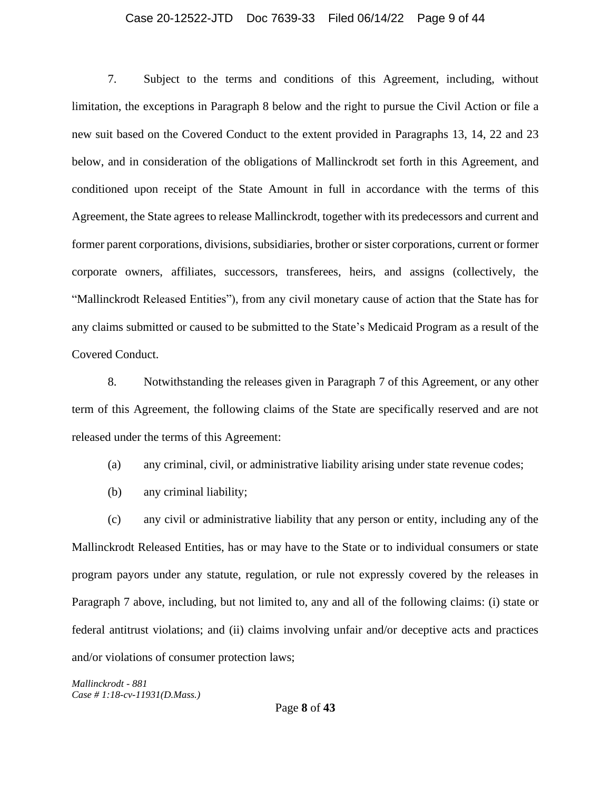#### Case 20-12522-JTD Doc 7639-33 Filed 06/14/22 Page 9 of 44

7. Subject to the terms and conditions of this Agreement, including, without limitation, the exceptions in Paragraph 8 below and the right to pursue the Civil Action or file a new suit based on the Covered Conduct to the extent provided in Paragraphs 13, 14, 22 and 23 below, and in consideration of the obligations of Mallinckrodt set forth in this Agreement, and conditioned upon receipt of the State Amount in full in accordance with the terms of this Agreement, the State agrees to release Mallinckrodt*,* together with its predecessors and current and former parent corporations, divisions, subsidiaries, brother or sister corporations, current or former corporate owners, affiliates, successors, transferees, heirs, and assigns (collectively, the "Mallinckrodt Released Entities"), from any civil monetary cause of action that the State has for any claims submitted or caused to be submitted to the State's Medicaid Program as a result of the Covered Conduct.

8. Notwithstanding the releases given in Paragraph 7 of this Agreement, or any other term of this Agreement, the following claims of the State are specifically reserved and are not released under the terms of this Agreement:

- (a) any criminal, civil, or administrative liability arising under state revenue codes;
- (b) any criminal liability;

(c) any civil or administrative liability that any person or entity, including any of the Mallinckrodt Released Entities, has or may have to the State or to individual consumers or state program payors under any statute, regulation, or rule not expressly covered by the releases in Paragraph 7 above, including, but not limited to, any and all of the following claims: (i) state or federal antitrust violations; and (ii) claims involving unfair and/or deceptive acts and practices and/or violations of consumer protection laws;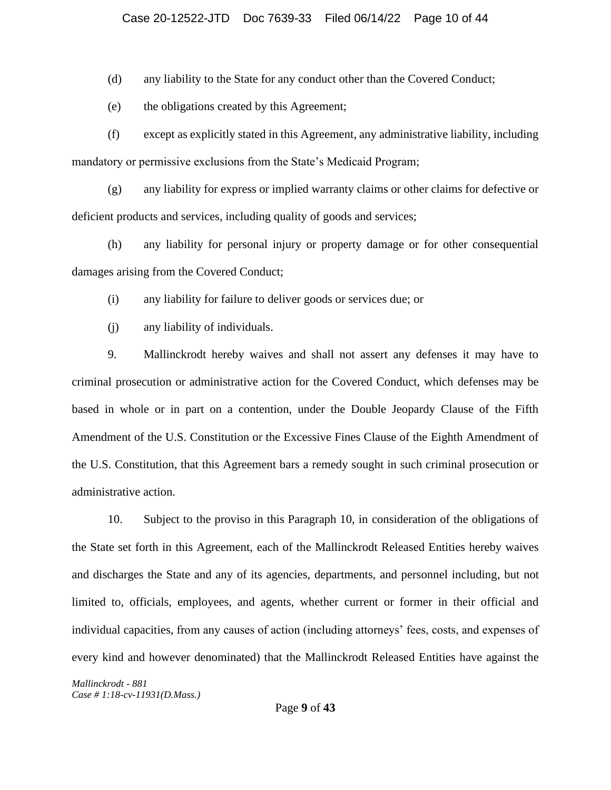# Case 20-12522-JTD Doc 7639-33 Filed 06/14/22 Page 10 of 44

(d) any liability to the State for any conduct other than the Covered Conduct;

(e) the obligations created by this Agreement;

(f) except as explicitly stated in this Agreement, any administrative liability, including mandatory or permissive exclusions from the State's Medicaid Program;

(g) any liability for express or implied warranty claims or other claims for defective or deficient products and services, including quality of goods and services;

(h) any liability for personal injury or property damage or for other consequential damages arising from the Covered Conduct;

(i) any liability for failure to deliver goods or services due; or

(j) any liability of individuals.

9. Mallinckrodt hereby waives and shall not assert any defenses it may have to criminal prosecution or administrative action for the Covered Conduct, which defenses may be based in whole or in part on a contention, under the Double Jeopardy Clause of the Fifth Amendment of the U.S. Constitution or the Excessive Fines Clause of the Eighth Amendment of the U.S. Constitution, that this Agreement bars a remedy sought in such criminal prosecution or administrative action.

10. Subject to the proviso in this Paragraph 10, in consideration of the obligations of the State set forth in this Agreement, each of the Mallinckrodt Released Entities hereby waives and discharges the State and any of its agencies, departments, and personnel including, but not limited to, officials, employees, and agents, whether current or former in their official and individual capacities, from any causes of action (including attorneys' fees, costs, and expenses of every kind and however denominated) that the Mallinckrodt Released Entities have against the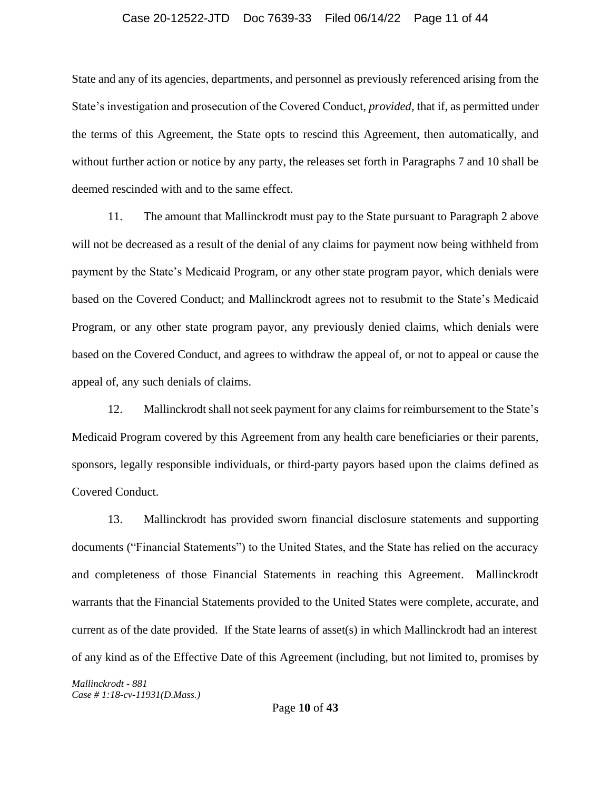#### Case 20-12522-JTD Doc 7639-33 Filed 06/14/22 Page 11 of 44

State and any of its agencies, departments, and personnel as previously referenced arising from the State's investigation and prosecution of the Covered Conduct, *provided*, that if, as permitted under the terms of this Agreement, the State opts to rescind this Agreement, then automatically, and without further action or notice by any party, the releases set forth in Paragraphs 7 and 10 shall be deemed rescinded with and to the same effect.

11. The amount that Mallinckrodt must pay to the State pursuant to Paragraph 2 above will not be decreased as a result of the denial of any claims for payment now being withheld from payment by the State's Medicaid Program, or any other state program payor, which denials were based on the Covered Conduct; and Mallinckrodt agrees not to resubmit to the State's Medicaid Program, or any other state program payor, any previously denied claims, which denials were based on the Covered Conduct, and agrees to withdraw the appeal of, or not to appeal or cause the appeal of, any such denials of claims.

12. Mallinckrodt shall not seek payment for any claims for reimbursement to the State's Medicaid Program covered by this Agreement from any health care beneficiaries or their parents, sponsors, legally responsible individuals, or third-party payors based upon the claims defined as Covered Conduct.

13. Mallinckrodt has provided sworn financial disclosure statements and supporting documents ("Financial Statements") to the United States, and the State has relied on the accuracy and completeness of those Financial Statements in reaching this Agreement. Mallinckrodt warrants that the Financial Statements provided to the United States were complete, accurate, and current as of the date provided. If the State learns of asset(s) in which Mallinckrodt had an interest of any kind as of the Effective Date of this Agreement (including, but not limited to, promises by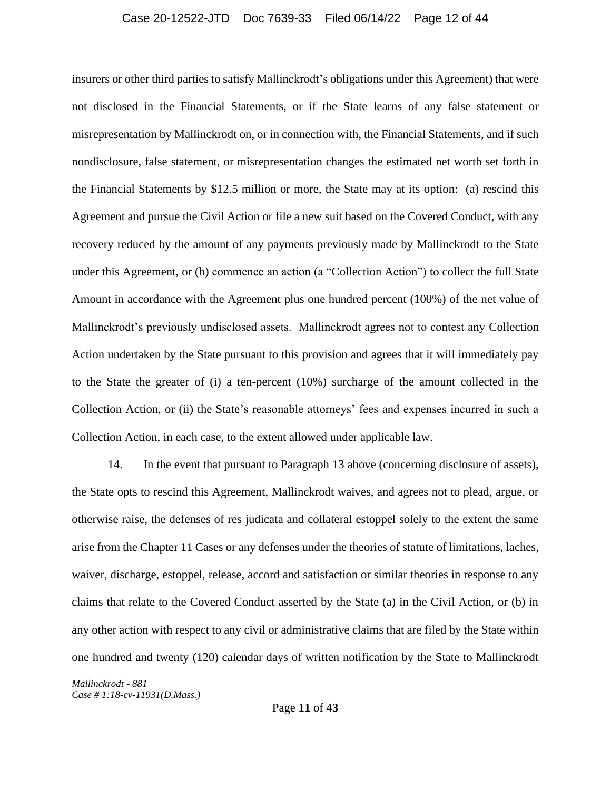#### Case 20-12522-JTD Doc 7639-33 Filed 06/14/22 Page 12 of 44

insurers or other third parties to satisfy Mallinckrodt's obligations under this Agreement) that were not disclosed in the Financial Statements, or if the State learns of any false statement or misrepresentation by Mallinckrodt on, or in connection with, the Financial Statements, and if such nondisclosure, false statement, or misrepresentation changes the estimated net worth set forth in the Financial Statements by \$12.5 million or more, the State may at its option: (a) rescind this Agreement and pursue the Civil Action or file a new suit based on the Covered Conduct, with any recovery reduced by the amount of any payments previously made by Mallinckrodt to the State under this Agreement, or (b) commence an action (a "Collection Action") to collect the full State Amount in accordance with the Agreement plus one hundred percent (100%) of the net value of Mallinckrodt's previously undisclosed assets. Mallinckrodt agrees not to contest any Collection Action undertaken by the State pursuant to this provision and agrees that it will immediately pay to the State the greater of (i) a ten-percent (10%) surcharge of the amount collected in the Collection Action, or (ii) the State's reasonable attorneys' fees and expenses incurred in such a Collection Action, in each case, to the extent allowed under applicable law.

14. In the event that pursuant to Paragraph 13 above (concerning disclosure of assets), the State opts to rescind this Agreement, Mallinckrodt waives, and agrees not to plead, argue, or otherwise raise, the defenses of res judicata and collateral estoppel solely to the extent the same arise from the Chapter 11 Cases or any defenses under the theories of statute of limitations, laches, waiver, discharge, estoppel, release, accord and satisfaction or similar theories in response to any claims that relate to the Covered Conduct asserted by the State (a) in the Civil Action, or (b) in any other action with respect to any civil or administrative claims that are filed by the State within one hundred and twenty (120) calendar days of written notification by the State to Mallinckrodt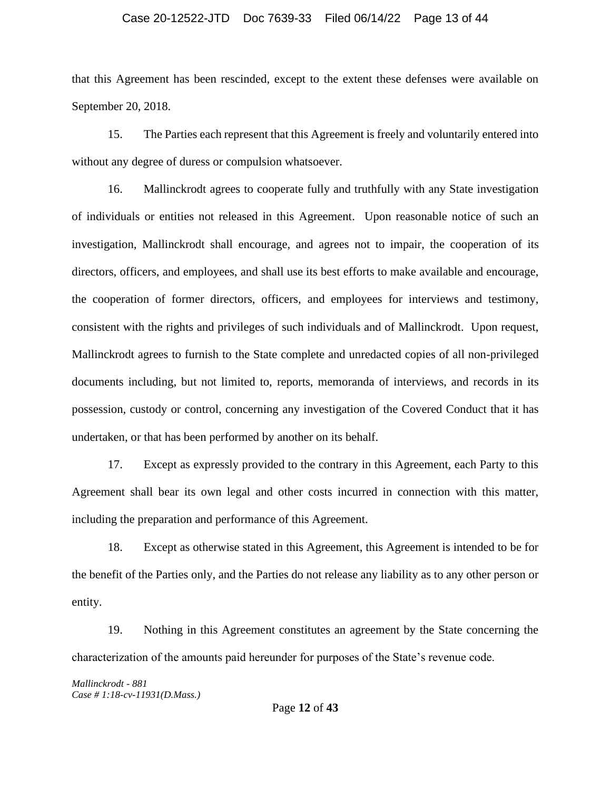# Case 20-12522-JTD Doc 7639-33 Filed 06/14/22 Page 13 of 44

that this Agreement has been rescinded, except to the extent these defenses were available on September 20, 2018.

15. The Parties each represent that this Agreement is freely and voluntarily entered into without any degree of duress or compulsion whatsoever.

16. Mallinckrodt agrees to cooperate fully and truthfully with any State investigation of individuals or entities not released in this Agreement. Upon reasonable notice of such an investigation, Mallinckrodt shall encourage, and agrees not to impair, the cooperation of its directors, officers, and employees, and shall use its best efforts to make available and encourage, the cooperation of former directors, officers, and employees for interviews and testimony, consistent with the rights and privileges of such individuals and of Mallinckrodt. Upon request, Mallinckrodt agrees to furnish to the State complete and unredacted copies of all non-privileged documents including, but not limited to, reports, memoranda of interviews, and records in its possession, custody or control, concerning any investigation of the Covered Conduct that it has undertaken, or that has been performed by another on its behalf.

17. Except as expressly provided to the contrary in this Agreement, each Party to this Agreement shall bear its own legal and other costs incurred in connection with this matter, including the preparation and performance of this Agreement.

18. Except as otherwise stated in this Agreement, this Agreement is intended to be for the benefit of the Parties only, and the Parties do not release any liability as to any other person or entity.

19. Nothing in this Agreement constitutes an agreement by the State concerning the characterization of the amounts paid hereunder for purposes of the State's revenue code.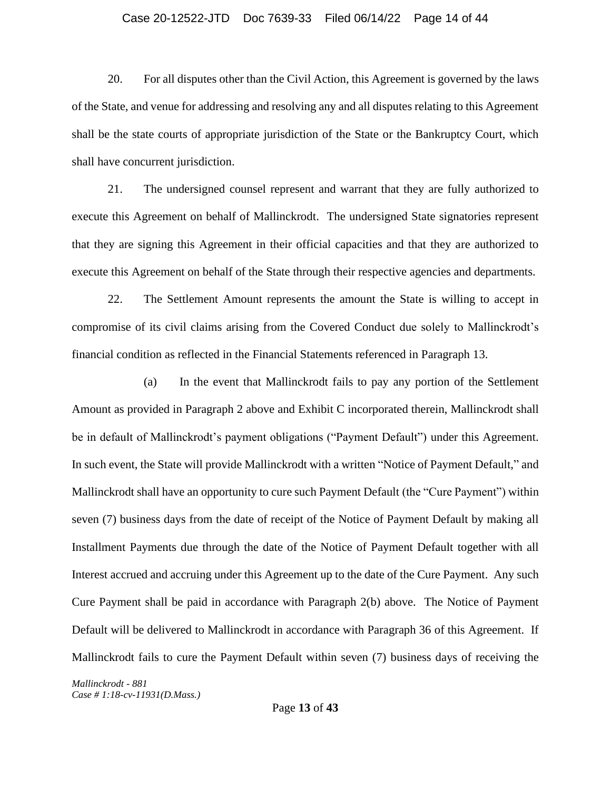# Case 20-12522-JTD Doc 7639-33 Filed 06/14/22 Page 14 of 44

20. For all disputes other than the Civil Action, this Agreement is governed by the laws of the State, and venue for addressing and resolving any and all disputes relating to this Agreement shall be the state courts of appropriate jurisdiction of the State or the Bankruptcy Court, which shall have concurrent jurisdiction.

21. The undersigned counsel represent and warrant that they are fully authorized to execute this Agreement on behalf of Mallinckrodt. The undersigned State signatories represent that they are signing this Agreement in their official capacities and that they are authorized to execute this Agreement on behalf of the State through their respective agencies and departments.

22. The Settlement Amount represents the amount the State is willing to accept in compromise of its civil claims arising from the Covered Conduct due solely to Mallinckrodt's financial condition as reflected in the Financial Statements referenced in Paragraph 13.

(a) In the event that Mallinckrodt fails to pay any portion of the Settlement Amount as provided in Paragraph 2 above and Exhibit C incorporated therein, Mallinckrodt shall be in default of Mallinckrodt's payment obligations ("Payment Default") under this Agreement. In such event, the State will provide Mallinckrodt with a written "Notice of Payment Default," and Mallinckrodt shall have an opportunity to cure such Payment Default (the "Cure Payment") within seven (7) business days from the date of receipt of the Notice of Payment Default by making all Installment Payments due through the date of the Notice of Payment Default together with all Interest accrued and accruing under this Agreement up to the date of the Cure Payment. Any such Cure Payment shall be paid in accordance with Paragraph 2(b) above. The Notice of Payment Default will be delivered to Mallinckrodt in accordance with Paragraph 36 of this Agreement. If Mallinckrodt fails to cure the Payment Default within seven (7) business days of receiving the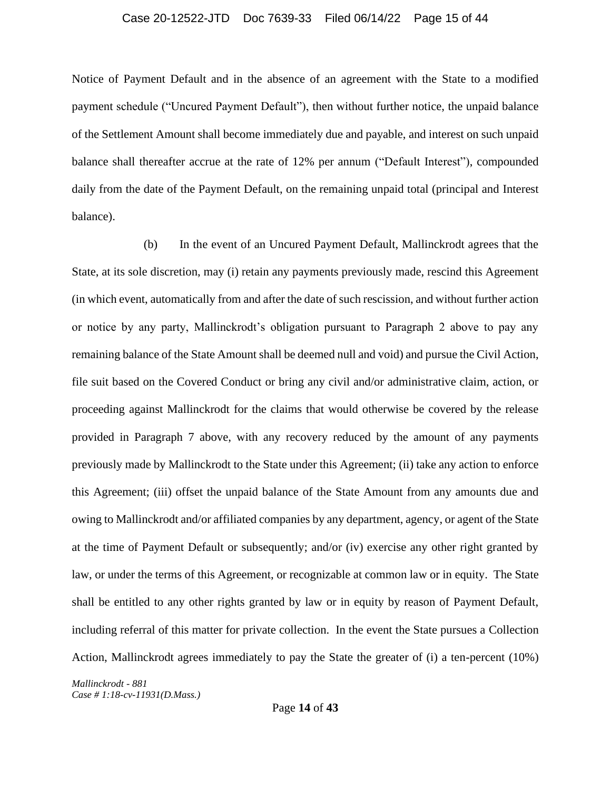#### Case 20-12522-JTD Doc 7639-33 Filed 06/14/22 Page 15 of 44

Notice of Payment Default and in the absence of an agreement with the State to a modified payment schedule ("Uncured Payment Default"), then without further notice, the unpaid balance of the Settlement Amount shall become immediately due and payable, and interest on such unpaid balance shall thereafter accrue at the rate of 12% per annum ("Default Interest"), compounded daily from the date of the Payment Default, on the remaining unpaid total (principal and Interest balance).

(b) In the event of an Uncured Payment Default, Mallinckrodt agrees that the State, at its sole discretion, may (i) retain any payments previously made, rescind this Agreement (in which event, automatically from and after the date of such rescission, and without further action or notice by any party, Mallinckrodt's obligation pursuant to Paragraph 2 above to pay any remaining balance of the State Amount shall be deemed null and void) and pursue the Civil Action, file suit based on the Covered Conduct or bring any civil and/or administrative claim, action, or proceeding against Mallinckrodt for the claims that would otherwise be covered by the release provided in Paragraph 7 above, with any recovery reduced by the amount of any payments previously made by Mallinckrodt to the State under this Agreement; (ii) take any action to enforce this Agreement; (iii) offset the unpaid balance of the State Amount from any amounts due and owing to Mallinckrodt and/or affiliated companies by any department, agency, or agent of the State at the time of Payment Default or subsequently; and/or (iv) exercise any other right granted by law, or under the terms of this Agreement, or recognizable at common law or in equity. The State shall be entitled to any other rights granted by law or in equity by reason of Payment Default, including referral of this matter for private collection. In the event the State pursues a Collection Action, Mallinckrodt agrees immediately to pay the State the greater of (i) a ten-percent (10%)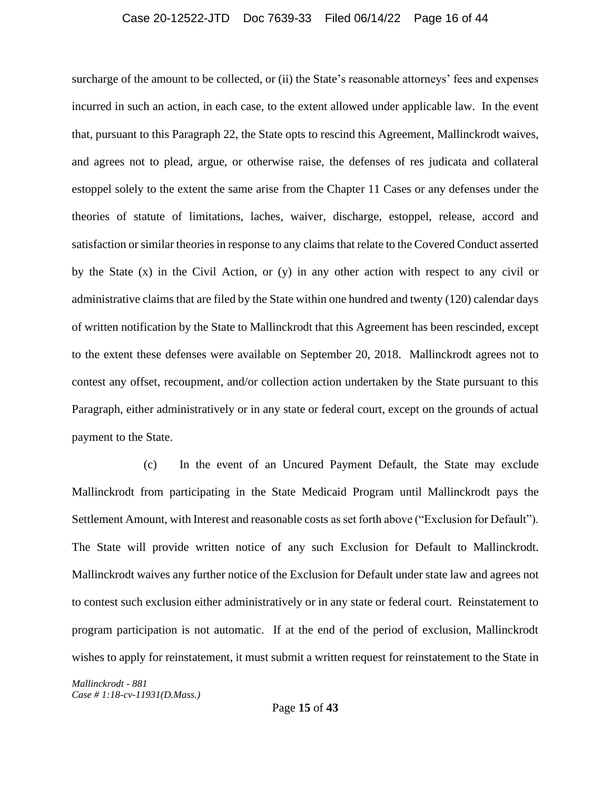#### Case 20-12522-JTD Doc 7639-33 Filed 06/14/22 Page 16 of 44

surcharge of the amount to be collected, or (ii) the State's reasonable attorneys' fees and expenses incurred in such an action, in each case, to the extent allowed under applicable law. In the event that, pursuant to this Paragraph 22, the State opts to rescind this Agreement, Mallinckrodt waives, and agrees not to plead, argue, or otherwise raise, the defenses of res judicata and collateral estoppel solely to the extent the same arise from the Chapter 11 Cases or any defenses under the theories of statute of limitations, laches, waiver, discharge, estoppel, release, accord and satisfaction or similar theories in response to any claims that relate to the Covered Conduct asserted by the State (x) in the Civil Action, or (y) in any other action with respect to any civil or administrative claims that are filed by the State within one hundred and twenty (120) calendar days of written notification by the State to Mallinckrodt that this Agreement has been rescinded, except to the extent these defenses were available on September 20, 2018. Mallinckrodt agrees not to contest any offset, recoupment, and/or collection action undertaken by the State pursuant to this Paragraph, either administratively or in any state or federal court, except on the grounds of actual payment to the State.

(c) In the event of an Uncured Payment Default, the State may exclude Mallinckrodt from participating in the State Medicaid Program until Mallinckrodt pays the Settlement Amount, with Interest and reasonable costs as set forth above ("Exclusion for Default"). The State will provide written notice of any such Exclusion for Default to Mallinckrodt. Mallinckrodt waives any further notice of the Exclusion for Default under state law and agrees not to contest such exclusion either administratively or in any state or federal court. Reinstatement to program participation is not automatic. If at the end of the period of exclusion, Mallinckrodt wishes to apply for reinstatement, it must submit a written request for reinstatement to the State in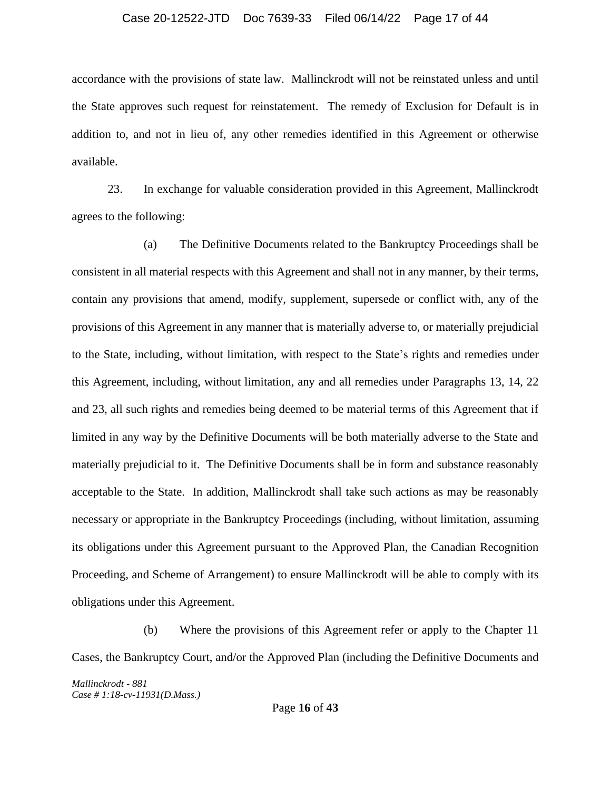#### Case 20-12522-JTD Doc 7639-33 Filed 06/14/22 Page 17 of 44

accordance with the provisions of state law. Mallinckrodt will not be reinstated unless and until the State approves such request for reinstatement. The remedy of Exclusion for Default is in addition to, and not in lieu of, any other remedies identified in this Agreement or otherwise available.

23. In exchange for valuable consideration provided in this Agreement, Mallinckrodt agrees to the following:

(a) The Definitive Documents related to the Bankruptcy Proceedings shall be consistent in all material respects with this Agreement and shall not in any manner, by their terms, contain any provisions that amend, modify, supplement, supersede or conflict with, any of the provisions of this Agreement in any manner that is materially adverse to, or materially prejudicial to the State, including, without limitation, with respect to the State's rights and remedies under this Agreement, including, without limitation, any and all remedies under Paragraphs 13, 14, 22 and 23, all such rights and remedies being deemed to be material terms of this Agreement that if limited in any way by the Definitive Documents will be both materially adverse to the State and materially prejudicial to it. The Definitive Documents shall be in form and substance reasonably acceptable to the State. In addition, Mallinckrodt shall take such actions as may be reasonably necessary or appropriate in the Bankruptcy Proceedings (including, without limitation, assuming its obligations under this Agreement pursuant to the Approved Plan, the Canadian Recognition Proceeding, and Scheme of Arrangement) to ensure Mallinckrodt will be able to comply with its obligations under this Agreement.

(b) Where the provisions of this Agreement refer or apply to the Chapter 11 Cases, the Bankruptcy Court, and/or the Approved Plan (including the Definitive Documents and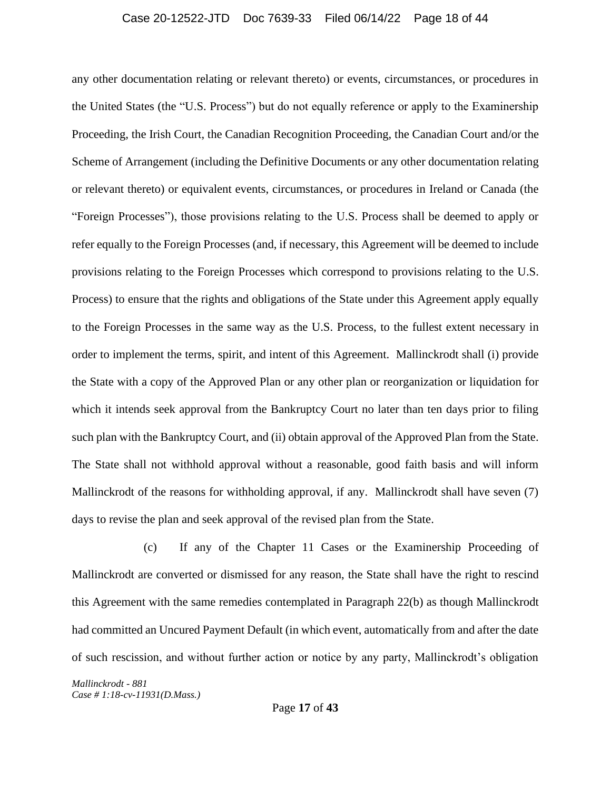#### Case 20-12522-JTD Doc 7639-33 Filed 06/14/22 Page 18 of 44

any other documentation relating or relevant thereto) or events, circumstances, or procedures in the United States (the "U.S. Process") but do not equally reference or apply to the Examinership Proceeding, the Irish Court, the Canadian Recognition Proceeding, the Canadian Court and/or the Scheme of Arrangement (including the Definitive Documents or any other documentation relating or relevant thereto) or equivalent events, circumstances, or procedures in Ireland or Canada (the "Foreign Processes"), those provisions relating to the U.S. Process shall be deemed to apply or refer equally to the Foreign Processes (and, if necessary, this Agreement will be deemed to include provisions relating to the Foreign Processes which correspond to provisions relating to the U.S. Process) to ensure that the rights and obligations of the State under this Agreement apply equally to the Foreign Processes in the same way as the U.S. Process, to the fullest extent necessary in order to implement the terms, spirit, and intent of this Agreement.Mallinckrodt shall (i) provide the State with a copy of the Approved Plan or any other plan or reorganization or liquidation for which it intends seek approval from the Bankruptcy Court no later than ten days prior to filing such plan with the Bankruptcy Court, and (ii) obtain approval of the Approved Plan from the State. The State shall not withhold approval without a reasonable, good faith basis and will inform Mallinckrodt of the reasons for withholding approval, if any. Mallinckrodt shall have seven (7) days to revise the plan and seek approval of the revised plan from the State.

(c) If any of the Chapter 11 Cases or the Examinership Proceeding of Mallinckrodt are converted or dismissed for any reason, the State shall have the right to rescind this Agreement with the same remedies contemplated in Paragraph 22(b) as though Mallinckrodt had committed an Uncured Payment Default (in which event, automatically from and after the date of such rescission, and without further action or notice by any party, Mallinckrodt's obligation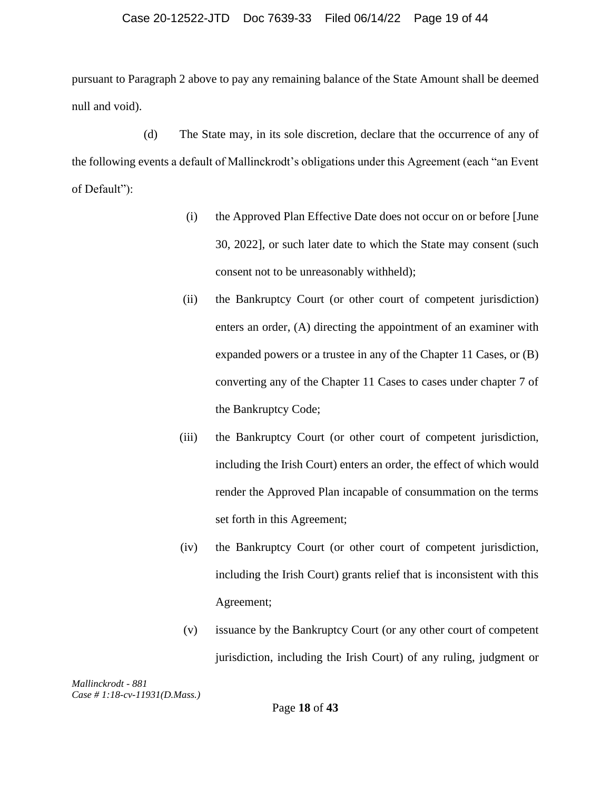#### Case 20-12522-JTD Doc 7639-33 Filed 06/14/22 Page 19 of 44

pursuant to Paragraph 2 above to pay any remaining balance of the State Amount shall be deemed null and void).

(d) The State may, in its sole discretion, declare that the occurrence of any of the following events a default of Mallinckrodt's obligations under this Agreement (each "an Event of Default"):

- (i) the Approved Plan Effective Date does not occur on or before [June 30, 2022], or such later date to which the State may consent (such consent not to be unreasonably withheld);
- (ii) the Bankruptcy Court (or other court of competent jurisdiction) enters an order, (A) directing the appointment of an examiner with expanded powers or a trustee in any of the Chapter 11 Cases, or (B) converting any of the Chapter 11 Cases to cases under chapter 7 of the Bankruptcy Code;
- (iii) the Bankruptcy Court (or other court of competent jurisdiction, including the Irish Court) enters an order, the effect of which would render the Approved Plan incapable of consummation on the terms set forth in this Agreement;
- (iv) the Bankruptcy Court (or other court of competent jurisdiction, including the Irish Court) grants relief that is inconsistent with this Agreement;
- (v) issuance by the Bankruptcy Court (or any other court of competent jurisdiction, including the Irish Court) of any ruling, judgment or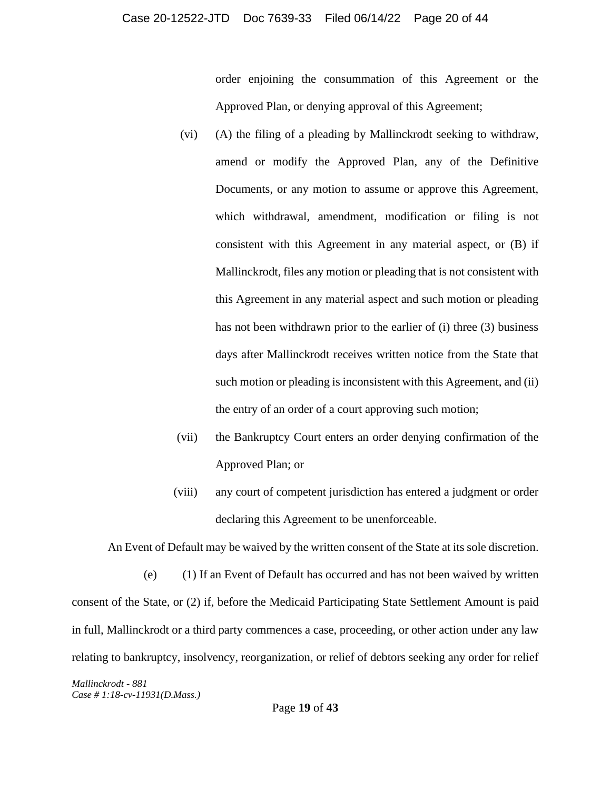#### Case 20-12522-JTD Doc 7639-33 Filed 06/14/22 Page 20 of 44

order enjoining the consummation of this Agreement or the Approved Plan, or denying approval of this Agreement;

- (vi) (A) the filing of a pleading by Mallinckrodt seeking to withdraw, amend or modify the Approved Plan, any of the Definitive Documents, or any motion to assume or approve this Agreement, which withdrawal, amendment, modification or filing is not consistent with this Agreement in any material aspect, or (B) if Mallinckrodt, files any motion or pleading that is not consistent with this Agreement in any material aspect and such motion or pleading has not been withdrawn prior to the earlier of (i) three (3) business days after Mallinckrodt receives written notice from the State that such motion or pleading is inconsistent with this Agreement, and (ii) the entry of an order of a court approving such motion;
- (vii) the Bankruptcy Court enters an order denying confirmation of the Approved Plan; or
- (viii) any court of competent jurisdiction has entered a judgment or order declaring this Agreement to be unenforceable.

An Event of Default may be waived by the written consent of the State at its sole discretion.

(e) (1) If an Event of Default has occurred and has not been waived by written consent of the State, or (2) if, before the Medicaid Participating State Settlement Amount is paid in full, Mallinckrodt or a third party commences a case, proceeding, or other action under any law relating to bankruptcy, insolvency, reorganization, or relief of debtors seeking any order for relief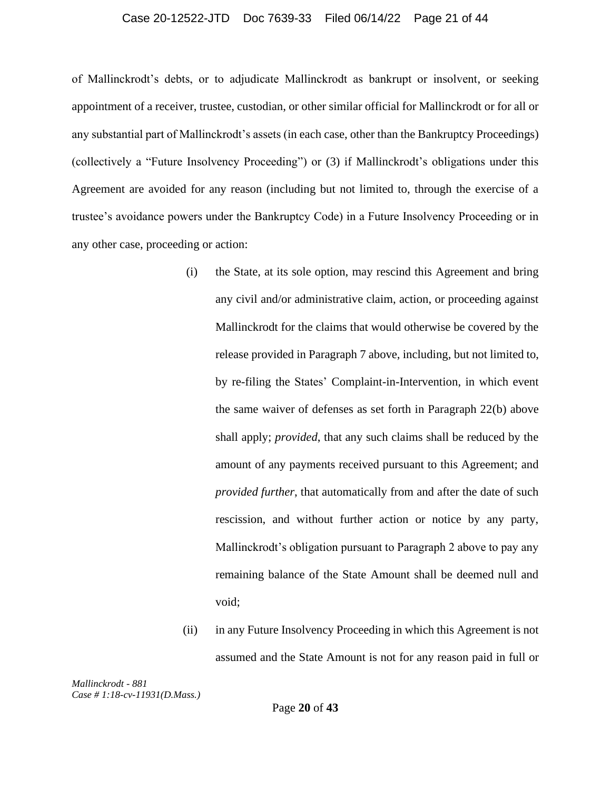#### Case 20-12522-JTD Doc 7639-33 Filed 06/14/22 Page 21 of 44

of Mallinckrodt's debts, or to adjudicate Mallinckrodt as bankrupt or insolvent, or seeking appointment of a receiver, trustee, custodian, or other similar official for Mallinckrodt or for all or any substantial part of Mallinckrodt's assets (in each case, other than the Bankruptcy Proceedings) (collectively a "Future Insolvency Proceeding") or (3) if Mallinckrodt's obligations under this Agreement are avoided for any reason (including but not limited to, through the exercise of a trustee's avoidance powers under the Bankruptcy Code) in a Future Insolvency Proceeding or in any other case, proceeding or action:

- (i) the State, at its sole option, may rescind this Agreement and bring any civil and/or administrative claim, action, or proceeding against Mallinckrodt for the claims that would otherwise be covered by the release provided in Paragraph 7 above, including, but not limited to, by re-filing the States' Complaint-in-Intervention, in which event the same waiver of defenses as set forth in Paragraph 22(b) above shall apply; *provided*, that any such claims shall be reduced by the amount of any payments received pursuant to this Agreement; and *provided further*, that automatically from and after the date of such rescission, and without further action or notice by any party, Mallinckrodt's obligation pursuant to Paragraph 2 above to pay any remaining balance of the State Amount shall be deemed null and void;
- (ii) in any Future Insolvency Proceeding in which this Agreement is not assumed and the State Amount is not for any reason paid in full or

*Mallinckrodt - 881 Case # 1:18-cv-11931(D.Mass.)*

Page **20** of **43**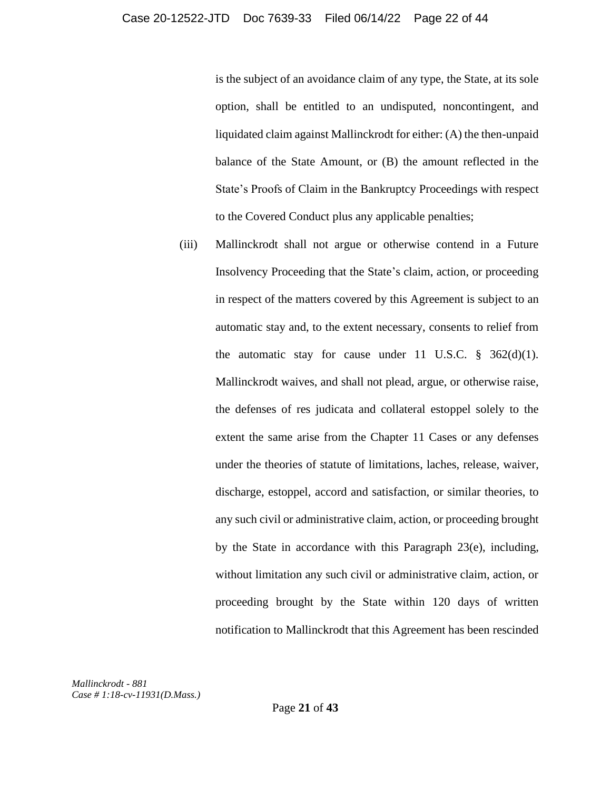is the subject of an avoidance claim of any type, the State, at its sole option, shall be entitled to an undisputed, noncontingent, and liquidated claim against Mallinckrodt for either: (A) the then-unpaid balance of the State Amount, or (B) the amount reflected in the State's Proofs of Claim in the Bankruptcy Proceedings with respect to the Covered Conduct plus any applicable penalties;

(iii) Mallinckrodt shall not argue or otherwise contend in a Future Insolvency Proceeding that the State's claim, action, or proceeding in respect of the matters covered by this Agreement is subject to an automatic stay and, to the extent necessary, consents to relief from the automatic stay for cause under 11 U.S.C.  $\S$  362(d)(1). Mallinckrodt waives, and shall not plead, argue, or otherwise raise, the defenses of res judicata and collateral estoppel solely to the extent the same arise from the Chapter 11 Cases or any defenses under the theories of statute of limitations, laches, release, waiver, discharge, estoppel, accord and satisfaction, or similar theories, to any such civil or administrative claim, action, or proceeding brought by the State in accordance with this Paragraph 23(e), including, without limitation any such civil or administrative claim, action, or proceeding brought by the State within 120 days of written notification to Mallinckrodt that this Agreement has been rescinded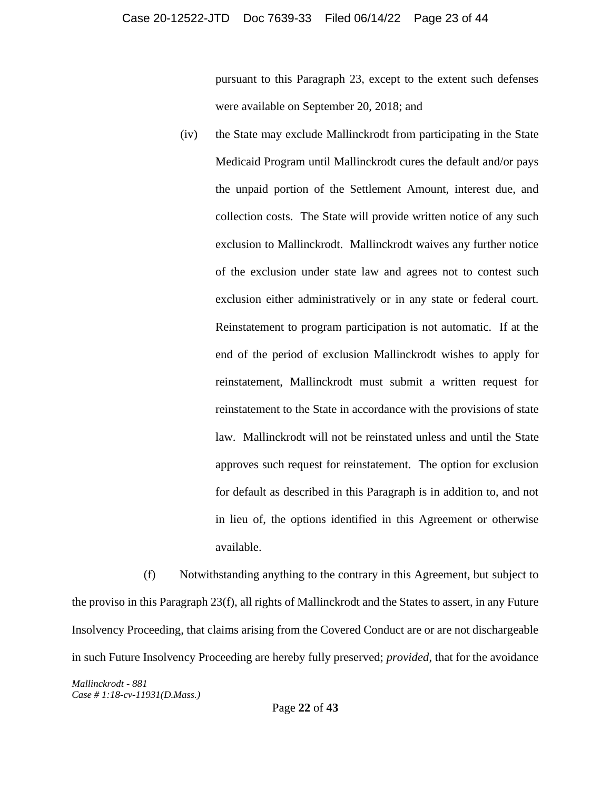pursuant to this Paragraph 23, except to the extent such defenses were available on September 20, 2018; and

(iv) the State may exclude Mallinckrodt from participating in the State Medicaid Program until Mallinckrodt cures the default and/or pays the unpaid portion of the Settlement Amount, interest due, and collection costs. The State will provide written notice of any such exclusion to Mallinckrodt. Mallinckrodt waives any further notice of the exclusion under state law and agrees not to contest such exclusion either administratively or in any state or federal court. Reinstatement to program participation is not automatic. If at the end of the period of exclusion Mallinckrodt wishes to apply for reinstatement, Mallinckrodt must submit a written request for reinstatement to the State in accordance with the provisions of state law. Mallinckrodt will not be reinstated unless and until the State approves such request for reinstatement. The option for exclusion for default as described in this Paragraph is in addition to, and not in lieu of, the options identified in this Agreement or otherwise available.

(f) Notwithstanding anything to the contrary in this Agreement, but subject to the proviso in this Paragraph 23(f), all rights of Mallinckrodt and the States to assert, in any Future Insolvency Proceeding, that claims arising from the Covered Conduct are or are not dischargeable in such Future Insolvency Proceeding are hereby fully preserved; *provided*, that for the avoidance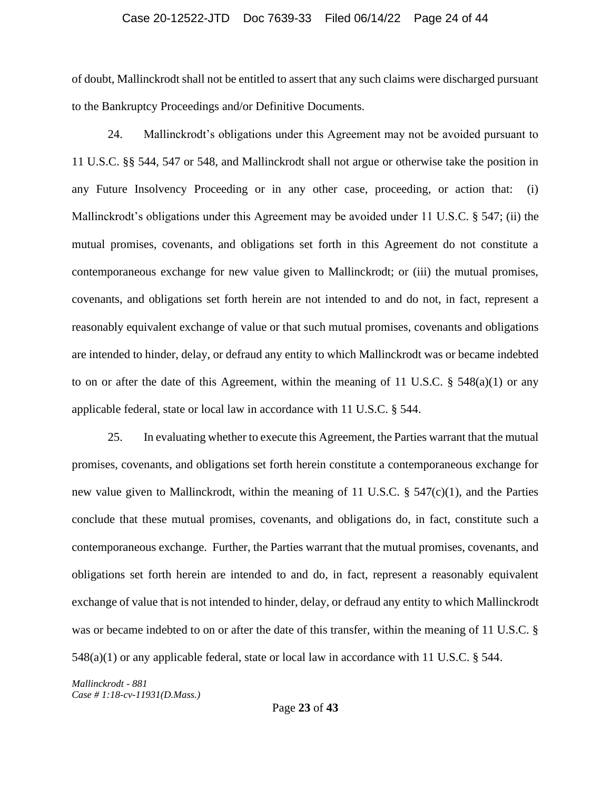### Case 20-12522-JTD Doc 7639-33 Filed 06/14/22 Page 24 of 44

of doubt, Mallinckrodt shall not be entitled to assert that any such claims were discharged pursuant to the Bankruptcy Proceedings and/or Definitive Documents.

24. Mallinckrodt's obligations under this Agreement may not be avoided pursuant to 11 U.S.C. §§ 544, 547 or 548, and Mallinckrodt shall not argue or otherwise take the position in any Future Insolvency Proceeding or in any other case, proceeding, or action that: (i) Mallinckrodt's obligations under this Agreement may be avoided under 11 U.S.C. § 547; (ii) the mutual promises, covenants, and obligations set forth in this Agreement do not constitute a contemporaneous exchange for new value given to Mallinckrodt; or (iii) the mutual promises, covenants, and obligations set forth herein are not intended to and do not, in fact, represent a reasonably equivalent exchange of value or that such mutual promises, covenants and obligations are intended to hinder, delay, or defraud any entity to which Mallinckrodt was or became indebted to on or after the date of this Agreement, within the meaning of 11 U.S.C.  $\S$  548(a)(1) or any applicable federal, state or local law in accordance with 11 U.S.C. § 544.

25. In evaluating whether to execute this Agreement, the Parties warrant that the mutual promises, covenants, and obligations set forth herein constitute a contemporaneous exchange for new value given to Mallinckrodt, within the meaning of 11 U.S.C.  $\S$  547(c)(1), and the Parties conclude that these mutual promises, covenants, and obligations do, in fact, constitute such a contemporaneous exchange. Further, the Parties warrant that the mutual promises, covenants, and obligations set forth herein are intended to and do, in fact, represent a reasonably equivalent exchange of value that is not intended to hinder, delay, or defraud any entity to which Mallinckrodt was or became indebted to on or after the date of this transfer, within the meaning of 11 U.S.C. § 548(a)(1) or any applicable federal, state or local law in accordance with 11 U.S.C. § 544.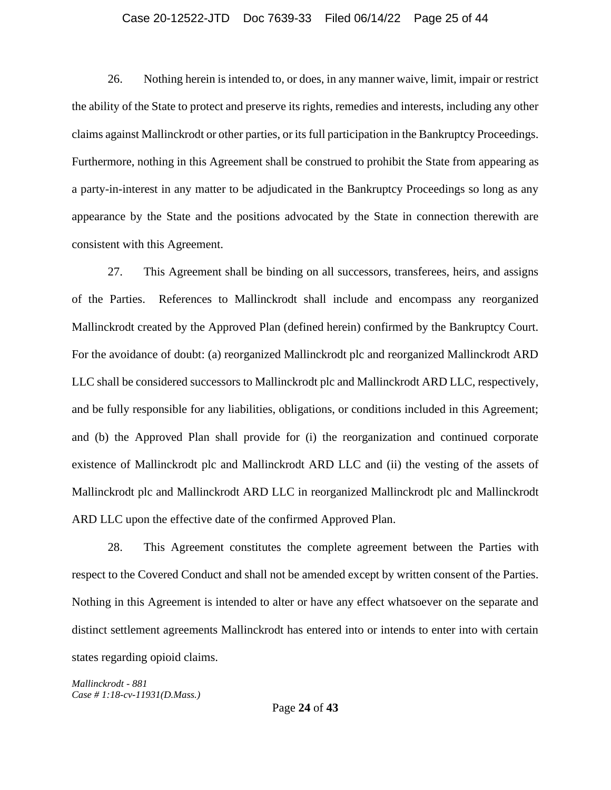# Case 20-12522-JTD Doc 7639-33 Filed 06/14/22 Page 25 of 44

26. Nothing herein is intended to, or does, in any manner waive, limit, impair or restrict the ability of the State to protect and preserve its rights, remedies and interests, including any other claims against Mallinckrodt or other parties, or its full participation in the Bankruptcy Proceedings. Furthermore, nothing in this Agreement shall be construed to prohibit the State from appearing as a party-in-interest in any matter to be adjudicated in the Bankruptcy Proceedings so long as any appearance by the State and the positions advocated by the State in connection therewith are consistent with this Agreement.

27. This Agreement shall be binding on all successors, transferees, heirs, and assigns of the Parties. References to Mallinckrodt shall include and encompass any reorganized Mallinckrodt created by the Approved Plan (defined herein) confirmed by the Bankruptcy Court. For the avoidance of doubt: (a) reorganized Mallinckrodt plc and reorganized Mallinckrodt ARD LLC shall be considered successors to Mallinckrodt plc and Mallinckrodt ARD LLC, respectively, and be fully responsible for any liabilities, obligations, or conditions included in this Agreement; and (b) the Approved Plan shall provide for (i) the reorganization and continued corporate existence of Mallinckrodt plc and Mallinckrodt ARD LLC and (ii) the vesting of the assets of Mallinckrodt plc and Mallinckrodt ARD LLC in reorganized Mallinckrodt plc and Mallinckrodt ARD LLC upon the effective date of the confirmed Approved Plan.

28. This Agreement constitutes the complete agreement between the Parties with respect to the Covered Conduct and shall not be amended except by written consent of the Parties. Nothing in this Agreement is intended to alter or have any effect whatsoever on the separate and distinct settlement agreements Mallinckrodt has entered into or intends to enter into with certain states regarding opioid claims.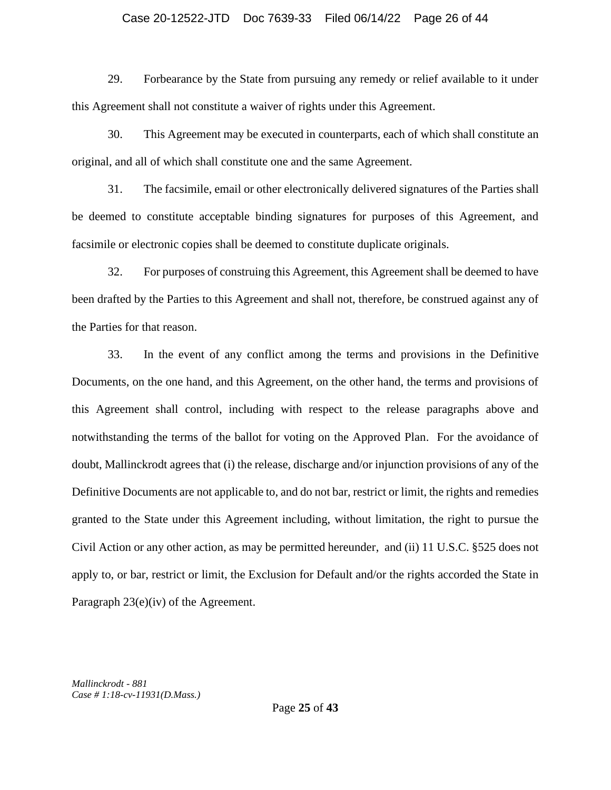# Case 20-12522-JTD Doc 7639-33 Filed 06/14/22 Page 26 of 44

29. Forbearance by the State from pursuing any remedy or relief available to it under this Agreement shall not constitute a waiver of rights under this Agreement.

30. This Agreement may be executed in counterparts, each of which shall constitute an original, and all of which shall constitute one and the same Agreement.

31. The facsimile, email or other electronically delivered signatures of the Parties shall be deemed to constitute acceptable binding signatures for purposes of this Agreement, and facsimile or electronic copies shall be deemed to constitute duplicate originals.

32. For purposes of construing this Agreement, this Agreement shall be deemed to have been drafted by the Parties to this Agreement and shall not, therefore, be construed against any of the Parties for that reason.

33. In the event of any conflict among the terms and provisions in the Definitive Documents, on the one hand, and this Agreement, on the other hand, the terms and provisions of this Agreement shall control, including with respect to the release paragraphs above and notwithstanding the terms of the ballot for voting on the Approved Plan. For the avoidance of doubt, Mallinckrodt agrees that (i) the release, discharge and/or injunction provisions of any of the Definitive Documents are not applicable to, and do not bar, restrict or limit, the rights and remedies granted to the State under this Agreement including, without limitation, the right to pursue the Civil Action or any other action, as may be permitted hereunder, and (ii) 11 U.S.C. §525 does not apply to, or bar, restrict or limit, the Exclusion for Default and/or the rights accorded the State in Paragraph 23(e)(iv) of the Agreement.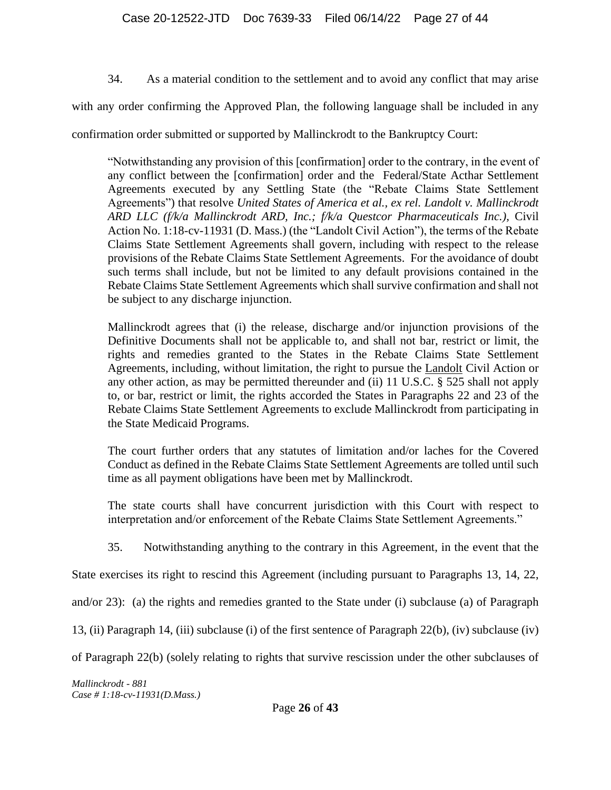34. As a material condition to the settlement and to avoid any conflict that may arise

with any order confirming the Approved Plan, the following language shall be included in any

confirmation order submitted or supported by Mallinckrodt to the Bankruptcy Court:

"Notwithstanding any provision of this [confirmation] order to the contrary, in the event of any conflict between the [confirmation] order and the Federal/State Acthar Settlement Agreements executed by any Settling State (the "Rebate Claims State Settlement Agreements") that resolve *United States of America et al., ex rel. Landolt v. Mallinckrodt ARD LLC (f/k/a Mallinckrodt ARD, Inc.; f/k/a Questcor Pharmaceuticals Inc.),* Civil Action No. 1:18-cv-11931 (D. Mass.) (the "Landolt Civil Action"), the terms of the Rebate Claims State Settlement Agreements shall govern, including with respect to the release provisions of the Rebate Claims State Settlement Agreements. For the avoidance of doubt such terms shall include, but not be limited to any default provisions contained in the Rebate Claims State Settlement Agreements which shall survive confirmation and shall not be subject to any discharge injunction.

Mallinckrodt agrees that (i) the release, discharge and/or injunction provisions of the Definitive Documents shall not be applicable to, and shall not bar, restrict or limit, the rights and remedies granted to the States in the Rebate Claims State Settlement Agreements, including, without limitation, the right to pursue the Landolt Civil Action or any other action, as may be permitted thereunder and (ii) 11 U.S.C. § 525 shall not apply to, or bar, restrict or limit, the rights accorded the States in Paragraphs 22 and 23 of the Rebate Claims State Settlement Agreements to exclude Mallinckrodt from participating in the State Medicaid Programs.

The court further orders that any statutes of limitation and/or laches for the Covered Conduct as defined in the Rebate Claims State Settlement Agreements are tolled until such time as all payment obligations have been met by Mallinckrodt.

The state courts shall have concurrent jurisdiction with this Court with respect to interpretation and/or enforcement of the Rebate Claims State Settlement Agreements."

35. Notwithstanding anything to the contrary in this Agreement, in the event that the

State exercises its right to rescind this Agreement (including pursuant to Paragraphs 13, 14, 22,

and/or 23): (a) the rights and remedies granted to the State under (i) subclause (a) of Paragraph

13, (ii) Paragraph 14, (iii) subclause (i) of the first sentence of Paragraph 22(b), (iv) subclause (iv)

of Paragraph 22(b) (solely relating to rights that survive rescission under the other subclauses of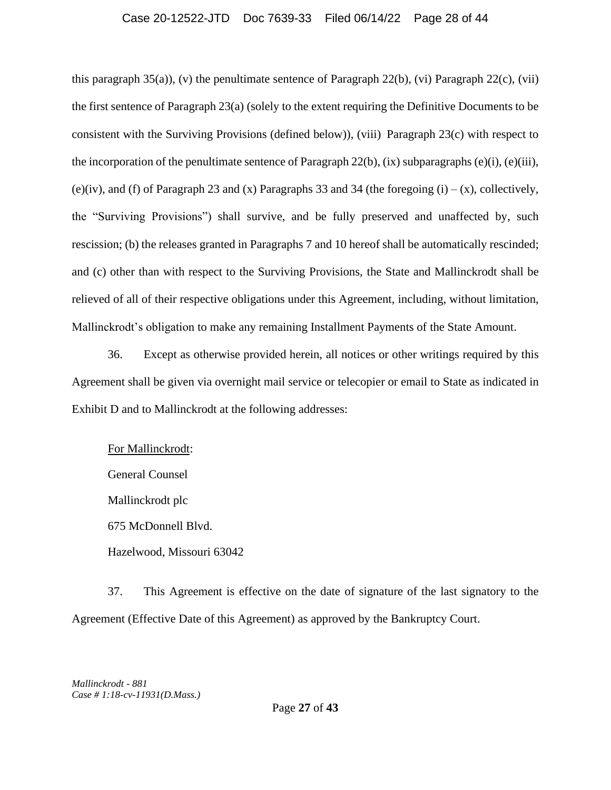## Case 20-12522-JTD Doc 7639-33 Filed 06/14/22 Page 28 of 44

this paragraph 35(a)), (v) the penultimate sentence of Paragraph 22(b), (vi) Paragraph 22(c), (vii) the first sentence of Paragraph 23(a) (solely to the extent requiring the Definitive Documents to be consistent with the Surviving Provisions (defined below)), (viii) Paragraph 23(c) with respect to the incorporation of the penultimate sentence of Paragraph  $22(b)$ , (ix) subparagraphs (e)(i), (e)(iii), (e)(iv), and (f) of Paragraph 23 and (x) Paragraphs 33 and 34 (the foregoing  $(i) - (x)$ , collectively, the "Surviving Provisions") shall survive, and be fully preserved and unaffected by, such rescission; (b) the releases granted in Paragraphs 7 and 10 hereof shall be automatically rescinded; and (c) other than with respect to the Surviving Provisions, the State and Mallinckrodt shall be relieved of all of their respective obligations under this Agreement, including, without limitation, Mallinckrodt's obligation to make any remaining Installment Payments of the State Amount.

36. Except as otherwise provided herein, all notices or other writings required by this Agreement shall be given via overnight mail service or telecopier or email to State as indicated in Exhibit D and to Mallinckrodt at the following addresses:

For Mallinckrodt: General Counsel Mallinckrodt plc 675 McDonnell Blvd. Hazelwood, Missouri 63042

37. This Agreement is effective on the date of signature of the last signatory to the Agreement (Effective Date of this Agreement) as approved by the Bankruptcy Court.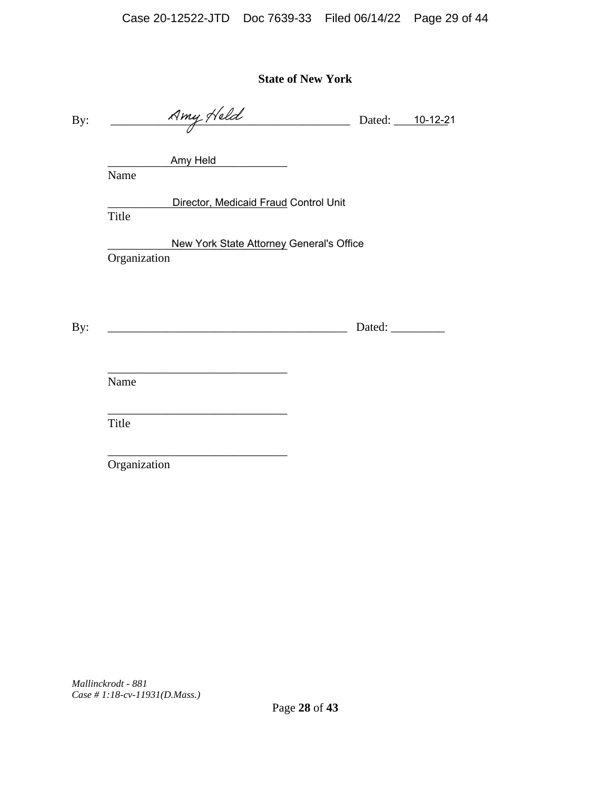**State of New York**

By:  $\frac{Nmy \, y \, v \, dz}{\sqrt{Muy \, y \, v \, dz}}$  Dated: 10-12-21

\_\_\_\_\_\_\_\_\_\_\_\_\_\_\_\_\_\_\_\_\_\_\_\_\_\_\_\_\_\_ Amy Held

Name

**Example 2 Transform Director, Medicaid Fraud Control Unit** 

Title

**Mew York State Attorney General's Office** Organization

By: \_\_\_\_\_\_\_\_\_\_\_\_\_\_\_\_\_\_\_\_\_\_\_\_\_\_\_\_\_\_\_\_\_\_\_\_\_\_\_\_ Dated: \_\_\_\_\_\_\_\_\_

\_\_\_\_\_\_\_\_\_\_\_\_\_\_\_\_\_\_\_\_\_\_\_\_\_\_\_\_\_\_ Name

Title

Organization

 $\frac{1}{\sqrt{2}}$  ,  $\frac{1}{\sqrt{2}}$  ,  $\frac{1}{\sqrt{2}}$  ,  $\frac{1}{\sqrt{2}}$  ,  $\frac{1}{\sqrt{2}}$  ,  $\frac{1}{\sqrt{2}}$  ,  $\frac{1}{\sqrt{2}}$  ,  $\frac{1}{\sqrt{2}}$  ,  $\frac{1}{\sqrt{2}}$  ,  $\frac{1}{\sqrt{2}}$  ,  $\frac{1}{\sqrt{2}}$  ,  $\frac{1}{\sqrt{2}}$  ,  $\frac{1}{\sqrt{2}}$  ,  $\frac{1}{\sqrt{2}}$  ,  $\frac{1}{\sqrt{2}}$ 

\_\_\_\_\_\_\_\_\_\_\_\_\_\_\_\_\_\_\_\_\_\_\_\_\_\_\_\_\_\_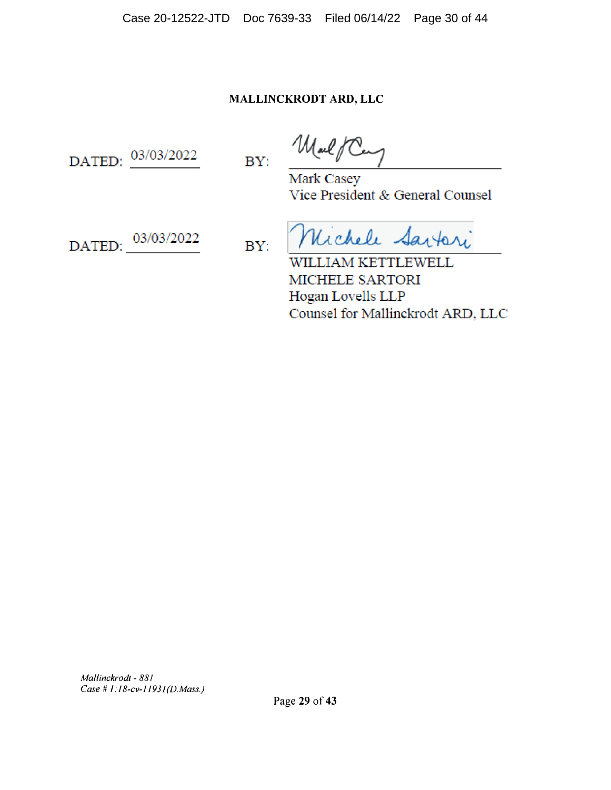Case 20-12522-JTD Doc 7639-33 Filed 06/14/22 Page 30 of 44

# **MALLINCKRODT ARD, LLC**

DATED: 03/03/2022

MalfCe BY:

Mark Casey Vice President & General Counsel

DATED: 03/03/2022

BY:

Michele Sartori

WILLIAM KETTLEWELL MICHELE SARTORI Hogan Lovells LLP Counsel for Mallinckrodt ARD, LLC

*Mallinckrodt - 88 I Case II I:18-cv-1193l(D.Mass.)*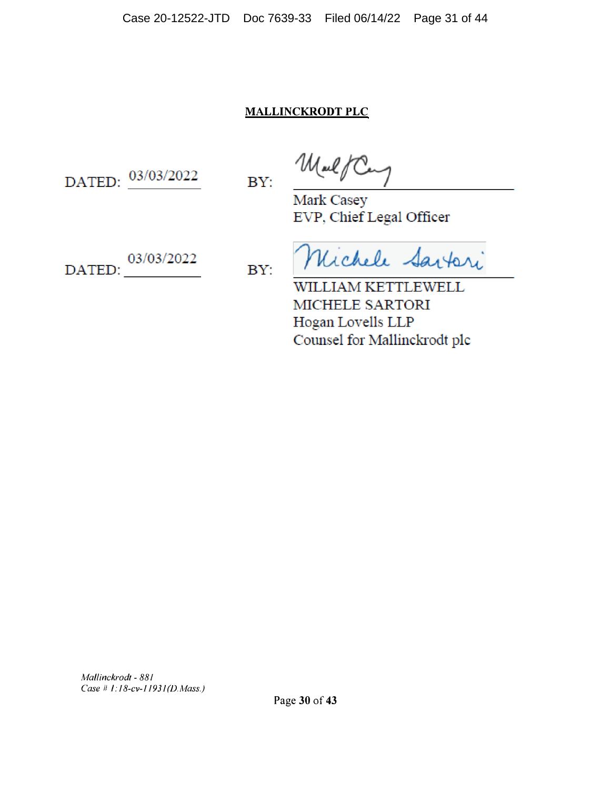# **MALLINCKRODT PLC**

DATED: 03/03/2022

BY:

MalfC

Mark Casey EVP, Chief Legal Officer

DATED: 03/03/2022

BY:

Michele Sartori

WILLIAM KETTLEWELL MICHELE SARTORI Hogan Lovells LLP Counsel for Mallinckrodt plc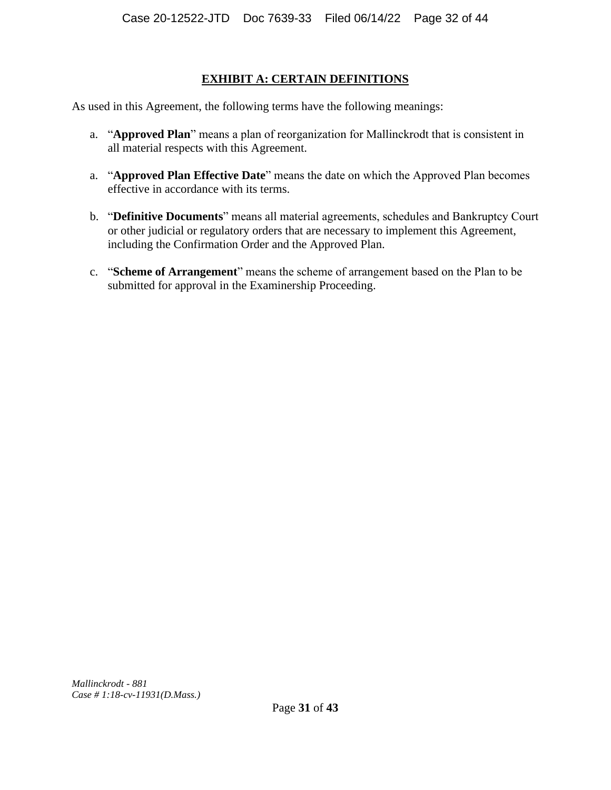# **EXHIBIT A: CERTAIN DEFINITIONS**

As used in this Agreement, the following terms have the following meanings:

- a. "**Approved Plan**" means a plan of reorganization for Mallinckrodt that is consistent in all material respects with this Agreement.
- a. "**Approved Plan Effective Date**" means the date on which the Approved Plan becomes effective in accordance with its terms.
- b. "**Definitive Documents**" means all material agreements, schedules and Bankruptcy Court or other judicial or regulatory orders that are necessary to implement this Agreement, including the Confirmation Order and the Approved Plan.
- c. "**Scheme of Arrangement**" means the scheme of arrangement based on the Plan to be submitted for approval in the Examinership Proceeding.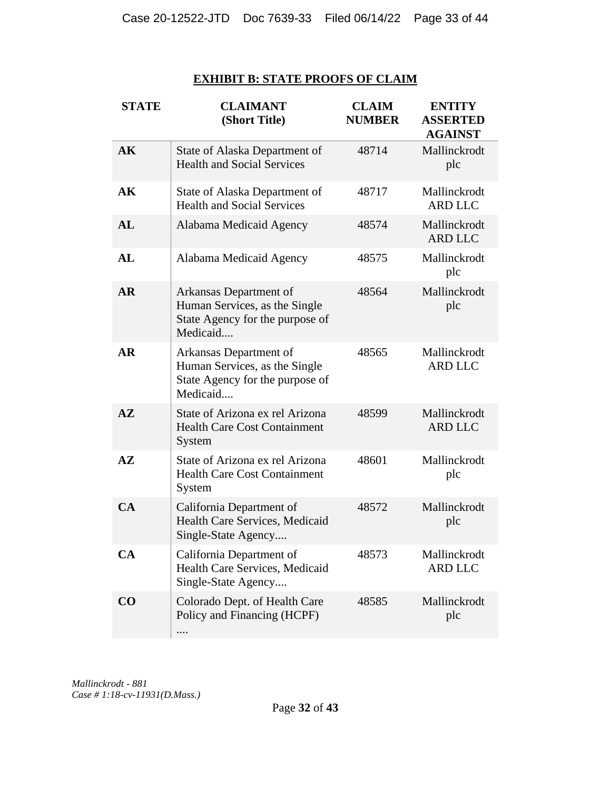# **EXHIBIT B: STATE PROOFS OF CLAIM**

| <b>STATE</b>  | <b>CLAIMANT</b><br>(Short Title)                                                                       | <b>CLAIM</b><br><b>NUMBER</b> | <b>ENTITY</b><br><b>ASSERTED</b><br><b>AGAINST</b> |
|---------------|--------------------------------------------------------------------------------------------------------|-------------------------------|----------------------------------------------------|
| AK            | State of Alaska Department of<br><b>Health and Social Services</b>                                     | 48714                         | Mallinckrodt<br>plc                                |
| AK            | State of Alaska Department of<br><b>Health and Social Services</b>                                     | 48717                         | Mallinckrodt<br><b>ARD LLC</b>                     |
| AL            | Alabama Medicaid Agency                                                                                | 48574                         | Mallinckrodt<br><b>ARD LLC</b>                     |
| AL            | Alabama Medicaid Agency                                                                                | 48575                         | Mallinckrodt<br>plc                                |
| <b>AR</b>     | Arkansas Department of<br>Human Services, as the Single<br>State Agency for the purpose of<br>Medicaid | 48564                         | Mallinckrodt<br>plc                                |
| AR            | Arkansas Department of<br>Human Services, as the Single<br>State Agency for the purpose of<br>Medicaid | 48565                         | Mallinckrodt<br><b>ARD LLC</b>                     |
| $A\mathbf{Z}$ | State of Arizona ex rel Arizona<br><b>Health Care Cost Containment</b><br>System                       | 48599                         | Mallinckrodt<br><b>ARD LLC</b>                     |
| $A\mathbf{Z}$ | State of Arizona ex rel Arizona<br><b>Health Care Cost Containment</b><br>System                       | 48601                         | Mallinckrodt<br>plc                                |
| CA            | California Department of<br>Health Care Services, Medicaid<br>Single-State Agency                      | 48572                         | Mallinckrodt<br>plc                                |
| <b>CA</b>     | California Department of<br>Health Care Services, Medicaid<br>Single-State Agency                      | 48573                         | Mallinckrodt<br><b>ARD LLC</b>                     |
| $\bf CO$      | Colorado Dept. of Health Care<br>Policy and Financing (HCPF)<br>.                                      | 48585                         | Mallinckrodt<br>plc                                |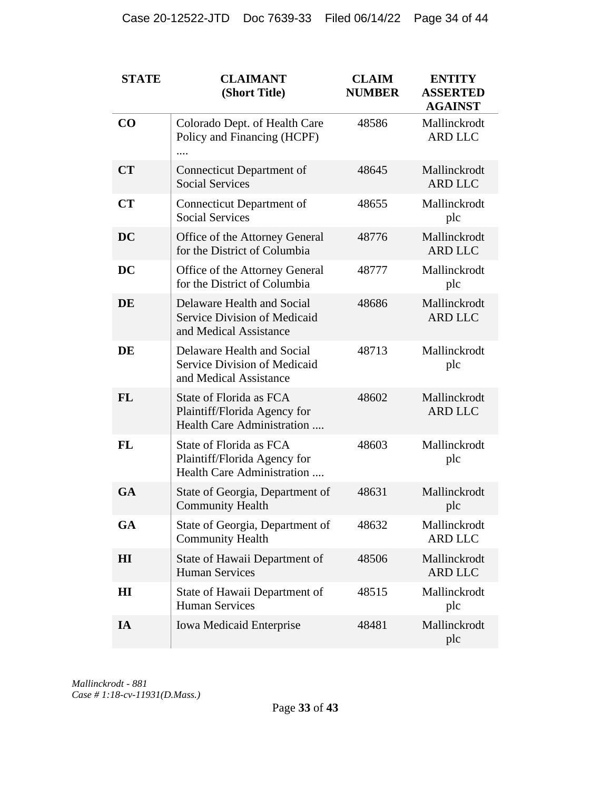| <b>STATE</b> | <b>CLAIMANT</b><br>(Short Title)                                                      | <b>CLAIM</b><br><b>NUMBER</b> | <b>ENTITY</b><br><b>ASSERTED</b><br><b>AGAINST</b> |
|--------------|---------------------------------------------------------------------------------------|-------------------------------|----------------------------------------------------|
| CO           | Colorado Dept. of Health Care<br>Policy and Financing (HCPF)                          | 48586                         | Mallinckrodt<br><b>ARD LLC</b>                     |
| <b>CT</b>    | <b>Connecticut Department of</b><br><b>Social Services</b>                            | 48645                         | Mallinckrodt<br><b>ARD LLC</b>                     |
| CT           | <b>Connecticut Department of</b><br><b>Social Services</b>                            | 48655                         | Mallinckrodt<br>plc                                |
| <b>DC</b>    | Office of the Attorney General<br>for the District of Columbia                        | 48776                         | Mallinckrodt<br><b>ARD LLC</b>                     |
| <b>DC</b>    | Office of the Attorney General<br>for the District of Columbia                        | 48777                         | Mallinckrodt<br>plc                                |
| <b>DE</b>    | Delaware Health and Social<br>Service Division of Medicaid<br>and Medical Assistance  | 48686                         | Mallinckrodt<br><b>ARD LLC</b>                     |
| DE           | Delaware Health and Social<br>Service Division of Medicaid<br>and Medical Assistance  | 48713                         | Mallinckrodt<br>plc                                |
| <b>FL</b>    | State of Florida as FCA<br>Plaintiff/Florida Agency for<br>Health Care Administration | 48602                         | Mallinckrodt<br><b>ARD LLC</b>                     |
| <b>FL</b>    | State of Florida as FCA<br>Plaintiff/Florida Agency for<br>Health Care Administration | 48603                         | Mallinckrodt<br>plc                                |
| <b>GA</b>    | State of Georgia, Department of<br><b>Community Health</b>                            | 48631                         | Mallinckrodt<br>plc                                |
| <b>GA</b>    | State of Georgia, Department of<br><b>Community Health</b>                            | 48632                         | Mallinckrodt<br><b>ARD LLC</b>                     |
| $\mathbf{H}$ | State of Hawaii Department of<br><b>Human Services</b>                                | 48506                         | Mallinckrodt<br><b>ARD LLC</b>                     |
| $\mathbf{H}$ | State of Hawaii Department of<br><b>Human Services</b>                                | 48515                         | Mallinckrodt<br>plc                                |
| IA           | <b>Iowa Medicaid Enterprise</b>                                                       | 48481                         | Mallinckrodt<br>plc                                |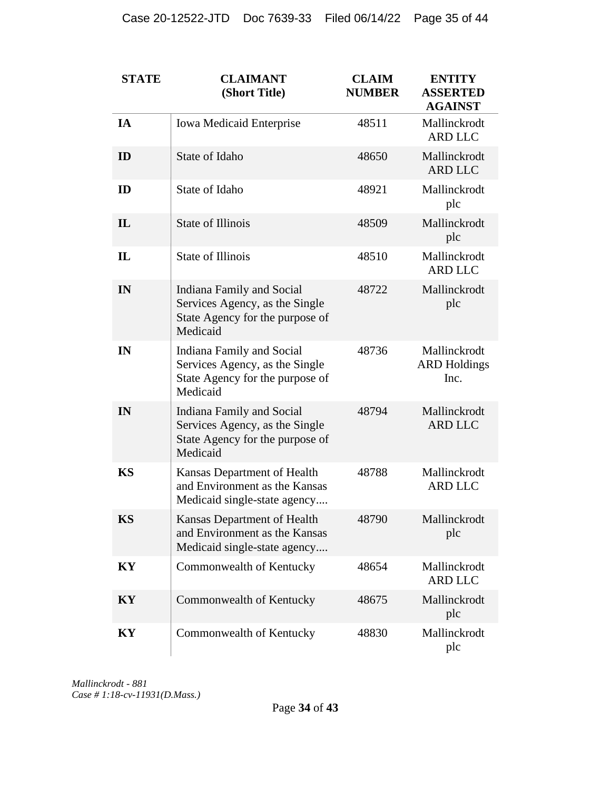| <b>STATE</b> | <b>CLAIMANT</b><br>(Short Title)                                                                                  | <b>CLAIM</b><br><b>NUMBER</b> | <b>ENTITY</b><br><b>ASSERTED</b><br><b>AGAINST</b> |
|--------------|-------------------------------------------------------------------------------------------------------------------|-------------------------------|----------------------------------------------------|
| IA           | <b>Iowa Medicaid Enterprise</b>                                                                                   | 48511                         | Mallinckrodt<br><b>ARD LLC</b>                     |
| ID           | State of Idaho                                                                                                    | 48650                         | Mallinckrodt<br><b>ARD LLC</b>                     |
| ID           | State of Idaho                                                                                                    | 48921                         | Mallinckrodt<br>plc                                |
| $\mathbf{I}$ | <b>State of Illinois</b>                                                                                          | 48509                         | Mallinckrodt<br>plc                                |
| $\mathbf{I}$ | <b>State of Illinois</b>                                                                                          | 48510                         | Mallinckrodt<br><b>ARD LLC</b>                     |
| IN           | <b>Indiana Family and Social</b><br>Services Agency, as the Single<br>State Agency for the purpose of<br>Medicaid | 48722                         | Mallinckrodt<br>plc                                |
| IN           | Indiana Family and Social<br>Services Agency, as the Single<br>State Agency for the purpose of<br>Medicaid        | 48736                         | Mallinckrodt<br><b>ARD Holdings</b><br>Inc.        |
| IN           | Indiana Family and Social<br>Services Agency, as the Single<br>State Agency for the purpose of<br>Medicaid        | 48794                         | Mallinckrodt<br><b>ARD LLC</b>                     |
| <b>KS</b>    | Kansas Department of Health<br>and Environment as the Kansas<br>Medicaid single-state agency                      | 48788                         | Mallinckrodt<br><b>ARD LLC</b>                     |
| <b>KS</b>    | Kansas Department of Health<br>and Environment as the Kansas<br>Medicaid single-state agency                      | 48790                         | Mallinckrodt<br>plc                                |
| KY           | Commonwealth of Kentucky                                                                                          | 48654                         | Mallinckrodt<br><b>ARD LLC</b>                     |
| KY           | Commonwealth of Kentucky                                                                                          | 48675                         | Mallinckrodt<br>plc                                |
| KY           | Commonwealth of Kentucky                                                                                          | 48830                         | Mallinckrodt<br>plc                                |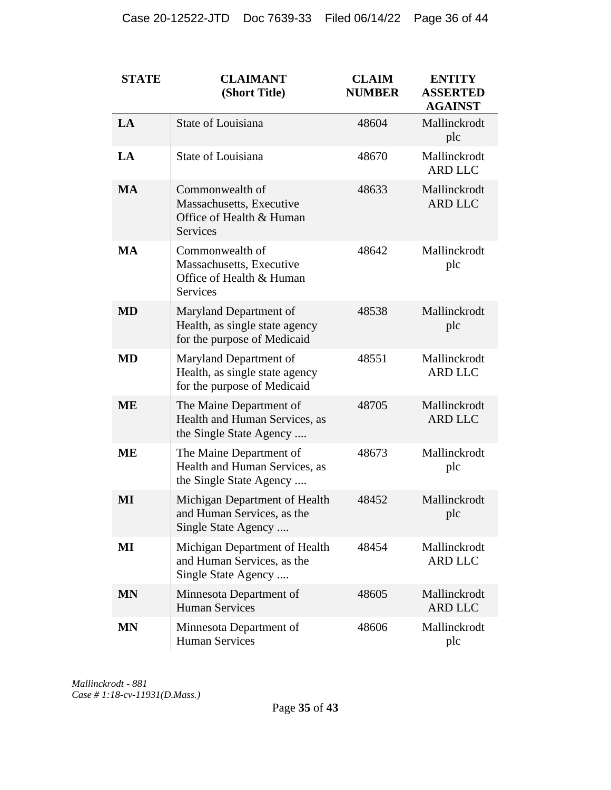| <b>STATE</b> | <b>CLAIMANT</b><br>(Short Title)                                                           | <b>CLAIM</b><br><b>NUMBER</b> | <b>ENTITY</b><br><b>ASSERTED</b><br><b>AGAINST</b> |
|--------------|--------------------------------------------------------------------------------------------|-------------------------------|----------------------------------------------------|
| LA           | State of Louisiana                                                                         | 48604                         | Mallinckrodt<br>plc                                |
| LA           | State of Louisiana                                                                         | 48670                         | Mallinckrodt<br><b>ARD LLC</b>                     |
| <b>MA</b>    | Commonwealth of<br>Massachusetts, Executive<br>Office of Health & Human<br><b>Services</b> | 48633                         | Mallinckrodt<br><b>ARD LLC</b>                     |
| <b>MA</b>    | Commonwealth of<br>Massachusetts, Executive<br>Office of Health & Human<br><b>Services</b> | 48642                         | Mallinckrodt<br>plc                                |
| <b>MD</b>    | Maryland Department of<br>Health, as single state agency<br>for the purpose of Medicaid    | 48538                         | Mallinckrodt<br>plc                                |
| <b>MD</b>    | Maryland Department of<br>Health, as single state agency<br>for the purpose of Medicaid    | 48551                         | Mallinckrodt<br><b>ARD LLC</b>                     |
| <b>ME</b>    | The Maine Department of<br>Health and Human Services, as<br>the Single State Agency        | 48705                         | Mallinckrodt<br><b>ARD LLC</b>                     |
| <b>ME</b>    | The Maine Department of<br>Health and Human Services, as<br>the Single State Agency        | 48673                         | Mallinckrodt<br>plc                                |
| MI           | Michigan Department of Health<br>and Human Services, as the<br>Single State Agency         | 48452                         | Mallinckrodt<br>plc                                |
| MI           | Michigan Department of Health<br>and Human Services, as the<br>Single State Agency         | 48454                         | Mallinckrodt<br><b>ARD LLC</b>                     |
| <b>MN</b>    | Minnesota Department of<br><b>Human Services</b>                                           | 48605                         | Mallinckrodt<br><b>ARD LLC</b>                     |
| <b>MN</b>    | Minnesota Department of<br><b>Human Services</b>                                           | 48606                         | Mallinckrodt<br>plc                                |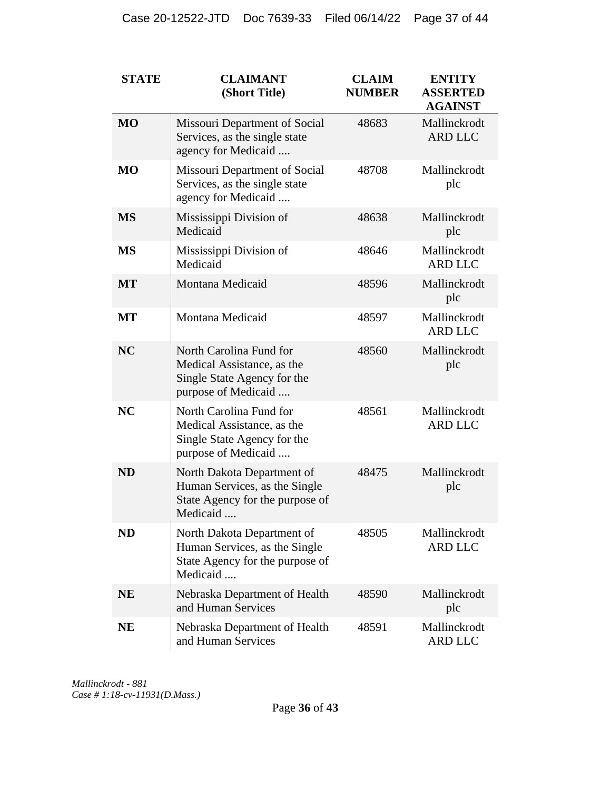| <b>STATE</b> | <b>CLAIMANT</b><br>(Short Title)                                                                            | <b>CLAIM</b><br><b>NUMBER</b> | <b>ENTITY</b><br><b>ASSERTED</b><br><b>AGAINST</b> |
|--------------|-------------------------------------------------------------------------------------------------------------|-------------------------------|----------------------------------------------------|
| <b>MO</b>    | Missouri Department of Social<br>Services, as the single state<br>agency for Medicaid                       | 48683                         | Mallinckrodt<br><b>ARD LLC</b>                     |
| <b>MO</b>    | Missouri Department of Social<br>Services, as the single state<br>agency for Medicaid                       | 48708                         | Mallinckrodt<br>plc                                |
| <b>MS</b>    | Mississippi Division of<br>Medicaid                                                                         | 48638                         | Mallinckrodt<br>plc                                |
| <b>MS</b>    | Mississippi Division of<br>Medicaid                                                                         | 48646                         | Mallinckrodt<br><b>ARD LLC</b>                     |
| <b>MT</b>    | Montana Medicaid                                                                                            | 48596                         | Mallinckrodt<br>plc                                |
| <b>MT</b>    | Montana Medicaid                                                                                            | 48597                         | Mallinckrodt<br><b>ARD LLC</b>                     |
| <b>NC</b>    | North Carolina Fund for<br>Medical Assistance, as the<br>Single State Agency for the<br>purpose of Medicaid | 48560                         | Mallinckrodt<br>plc                                |
| <b>NC</b>    | North Carolina Fund for<br>Medical Assistance, as the<br>Single State Agency for the<br>purpose of Medicaid | 48561                         | Mallinckrodt<br><b>ARD LLC</b>                     |
| <b>ND</b>    | North Dakota Department of<br>Human Services, as the Single<br>State Agency for the purpose of<br>Medicaid  | 48475                         | Mallinckrodt<br>plc                                |
| <b>ND</b>    | North Dakota Department of<br>Human Services, as the Single<br>State Agency for the purpose of<br>Medicaid  | 48505                         | Mallinckrodt<br><b>ARD LLC</b>                     |
| <b>NE</b>    | Nebraska Department of Health<br>and Human Services                                                         | 48590                         | Mallinckrodt<br>plc                                |
| <b>NE</b>    | Nebraska Department of Health<br>and Human Services                                                         | 48591                         | Mallinckrodt<br><b>ARD LLC</b>                     |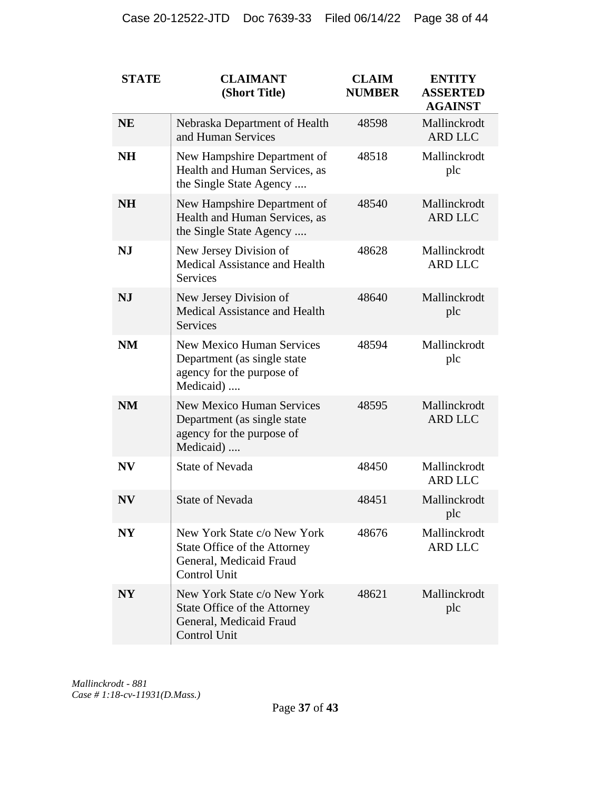| <b>STATE</b>   | <b>CLAIMANT</b><br>(Short Title)                                                                          | <b>CLAIM</b><br><b>NUMBER</b> | <b>ENTITY</b><br><b>ASSERTED</b><br><b>AGAINST</b> |
|----------------|-----------------------------------------------------------------------------------------------------------|-------------------------------|----------------------------------------------------|
| <b>NE</b>      | Nebraska Department of Health<br>and Human Services                                                       | 48598                         | Mallinckrodt<br><b>ARD LLC</b>                     |
| <b>NH</b>      | New Hampshire Department of<br>Health and Human Services, as<br>the Single State Agency                   | 48518                         | Mallinckrodt<br>plc                                |
| <b>NH</b>      | New Hampshire Department of<br>Health and Human Services, as<br>the Single State Agency                   | 48540                         | Mallinckrodt<br><b>ARD LLC</b>                     |
| <b>NJ</b>      | New Jersey Division of<br>Medical Assistance and Health<br><b>Services</b>                                | 48628                         | Mallinckrodt<br><b>ARD LLC</b>                     |
| <b>NJ</b>      | New Jersey Division of<br>Medical Assistance and Health<br><b>Services</b>                                | 48640                         | Mallinckrodt<br>plc                                |
| <b>NM</b>      | <b>New Mexico Human Services</b><br>Department (as single state<br>agency for the purpose of<br>Medicaid) | 48594                         | Mallinckrodt<br>plc                                |
| <b>NM</b>      | <b>New Mexico Human Services</b><br>Department (as single state<br>agency for the purpose of<br>Medicaid) | 48595                         | Mallinckrodt<br><b>ARD LLC</b>                     |
| <b>NV</b>      | <b>State of Nevada</b>                                                                                    | 48450                         | Mallinckrodt<br><b>ARD LLC</b>                     |
| <b>NV</b>      | <b>State of Nevada</b>                                                                                    | 48451                         | Mallinckrodt<br>plc                                |
| NY             | New York State c/o New York<br>State Office of the Attorney<br>General, Medicaid Fraud<br>Control Unit    | 48676                         | Mallinckrodt<br><b>ARD LLC</b>                     |
| N <sub>Y</sub> | New York State c/o New York<br>State Office of the Attorney<br>General, Medicaid Fraud<br>Control Unit    | 48621                         | Mallinckrodt<br>plc                                |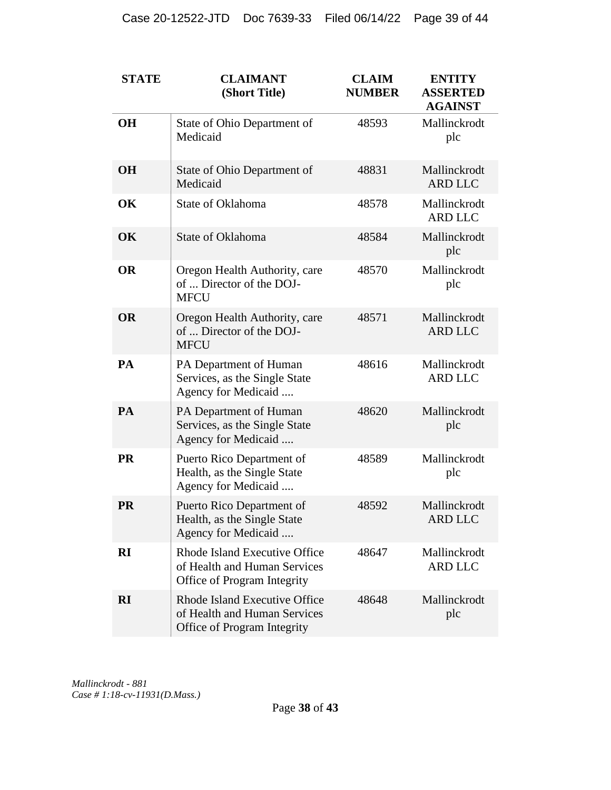| <b>STATE</b> | <b>CLAIMANT</b><br>(Short Title)                                                             | <b>CLAIM</b><br><b>NUMBER</b> | <b>ENTITY</b><br><b>ASSERTED</b><br><b>AGAINST</b> |
|--------------|----------------------------------------------------------------------------------------------|-------------------------------|----------------------------------------------------|
| <b>OH</b>    | State of Ohio Department of<br>Medicaid                                                      | 48593                         | Mallinckrodt<br>plc                                |
| <b>OH</b>    | State of Ohio Department of<br>Medicaid                                                      | 48831                         | Mallinckrodt<br><b>ARD LLC</b>                     |
| OK           | State of Oklahoma                                                                            | 48578                         | Mallinckrodt<br><b>ARD LLC</b>                     |
| OK           | State of Oklahoma                                                                            | 48584                         | Mallinckrodt<br>plc                                |
| <b>OR</b>    | Oregon Health Authority, care<br>of  Director of the DOJ-<br><b>MFCU</b>                     | 48570                         | Mallinckrodt<br>plc                                |
| <b>OR</b>    | Oregon Health Authority, care<br>of  Director of the DOJ-<br><b>MFCU</b>                     | 48571                         | Mallinckrodt<br><b>ARD LLC</b>                     |
| PA           | PA Department of Human<br>Services, as the Single State<br>Agency for Medicaid               | 48616                         | Mallinckrodt<br><b>ARD LLC</b>                     |
| PA           | PA Department of Human<br>Services, as the Single State<br>Agency for Medicaid               | 48620                         | Mallinckrodt<br>plc                                |
| <b>PR</b>    | Puerto Rico Department of<br>Health, as the Single State<br>Agency for Medicaid              | 48589                         | Mallinckrodt<br>plc                                |
| <b>PR</b>    | Puerto Rico Department of<br>Health, as the Single State<br>Agency for Medicaid              | 48592                         | Mallinckrodt<br><b>ARD LLC</b>                     |
| RI           | Rhode Island Executive Office<br>of Health and Human Services<br>Office of Program Integrity | 48647                         | Mallinckrodt<br><b>ARD LLC</b>                     |
| <b>RI</b>    | Rhode Island Executive Office<br>of Health and Human Services<br>Office of Program Integrity | 48648                         | Mallinckrodt<br>plc                                |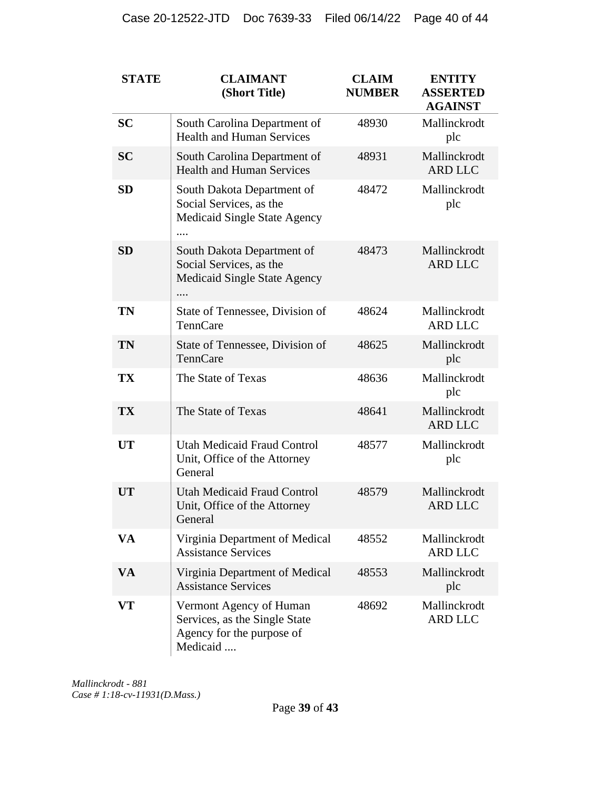| <b>STATE</b> | <b>CLAIMANT</b><br>(Short Title)                                                                  | <b>CLAIM</b><br><b>NUMBER</b> | <b>ENTITY</b><br><b>ASSERTED</b><br><b>AGAINST</b> |
|--------------|---------------------------------------------------------------------------------------------------|-------------------------------|----------------------------------------------------|
| <b>SC</b>    | South Carolina Department of<br><b>Health and Human Services</b>                                  | 48930                         | Mallinckrodt<br>plc                                |
| <b>SC</b>    | South Carolina Department of<br><b>Health and Human Services</b>                                  | 48931                         | Mallinckrodt<br><b>ARD LLC</b>                     |
| <b>SD</b>    | South Dakota Department of<br>Social Services, as the<br><b>Medicaid Single State Agency</b>      | 48472                         | Mallinckrodt<br>plc                                |
| <b>SD</b>    | South Dakota Department of<br>Social Services, as the<br><b>Medicaid Single State Agency</b>      | 48473                         | Mallinckrodt<br><b>ARD LLC</b>                     |
| TN           | State of Tennessee, Division of<br>TennCare                                                       | 48624                         | Mallinckrodt<br><b>ARD LLC</b>                     |
| <b>TN</b>    | State of Tennessee, Division of<br>TennCare                                                       | 48625                         | Mallinckrodt<br>plc                                |
| <b>TX</b>    | The State of Texas                                                                                | 48636                         | Mallinckrodt<br>plc                                |
| <b>TX</b>    | The State of Texas                                                                                | 48641                         | Mallinckrodt<br><b>ARD LLC</b>                     |
| <b>UT</b>    | <b>Utah Medicaid Fraud Control</b><br>Unit, Office of the Attorney<br>General                     | 48577                         | Mallinckrodt<br>plc                                |
| <b>UT</b>    | <b>Utah Medicaid Fraud Control</b><br>Unit, Office of the Attorney<br>General                     | 48579                         | Mallinckrodt<br><b>ARD LLC</b>                     |
| VA           | Virginia Department of Medical<br><b>Assistance Services</b>                                      | 48552                         | Mallinckrodt<br><b>ARD LLC</b>                     |
| <b>VA</b>    | Virginia Department of Medical<br><b>Assistance Services</b>                                      | 48553                         | Mallinckrodt<br>plc                                |
| VT           | Vermont Agency of Human<br>Services, as the Single State<br>Agency for the purpose of<br>Medicaid | 48692                         | Mallinckrodt<br><b>ARD LLC</b>                     |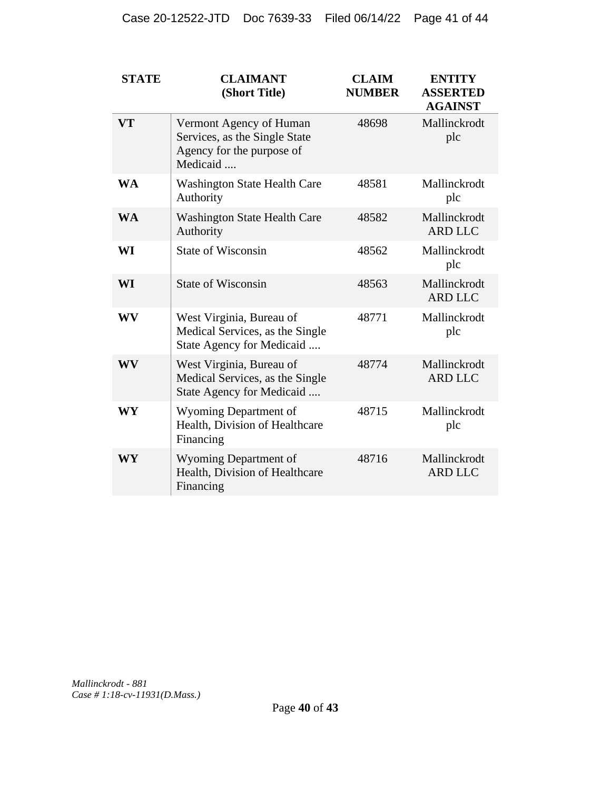| <b>STATE</b> | <b>CLAIMANT</b><br>(Short Title)                                                                  | <b>CLAIM</b><br><b>NUMBER</b> | <b>ENTITY</b><br><b>ASSERTED</b><br><b>AGAINST</b> |
|--------------|---------------------------------------------------------------------------------------------------|-------------------------------|----------------------------------------------------|
| <b>VT</b>    | Vermont Agency of Human<br>Services, as the Single State<br>Agency for the purpose of<br>Medicaid | 48698                         | Mallinckrodt<br>plc                                |
| <b>WA</b>    | <b>Washington State Health Care</b><br>Authority                                                  | 48581                         | Mallinckrodt<br>plc                                |
| <b>WA</b>    | <b>Washington State Health Care</b><br>Authority                                                  | 48582                         | Mallinckrodt<br><b>ARD LLC</b>                     |
| WI           | <b>State of Wisconsin</b>                                                                         | 48562                         | Mallinckrodt<br>plc                                |
| WI           | <b>State of Wisconsin</b>                                                                         | 48563                         | Mallinckrodt<br><b>ARD LLC</b>                     |
| WV           | West Virginia, Bureau of<br>Medical Services, as the Single<br>State Agency for Medicaid          | 48771                         | Mallinckrodt<br>plc                                |
| WV           | West Virginia, Bureau of<br>Medical Services, as the Single<br>State Agency for Medicaid          | 48774                         | Mallinckrodt<br><b>ARD LLC</b>                     |
| WY           | Wyoming Department of<br>Health, Division of Healthcare<br>Financing                              | 48715                         | Mallinckrodt<br>plc                                |
| WY           | Wyoming Department of<br>Health, Division of Healthcare<br>Financing                              | 48716                         | Mallinckrodt<br><b>ARD LLC</b>                     |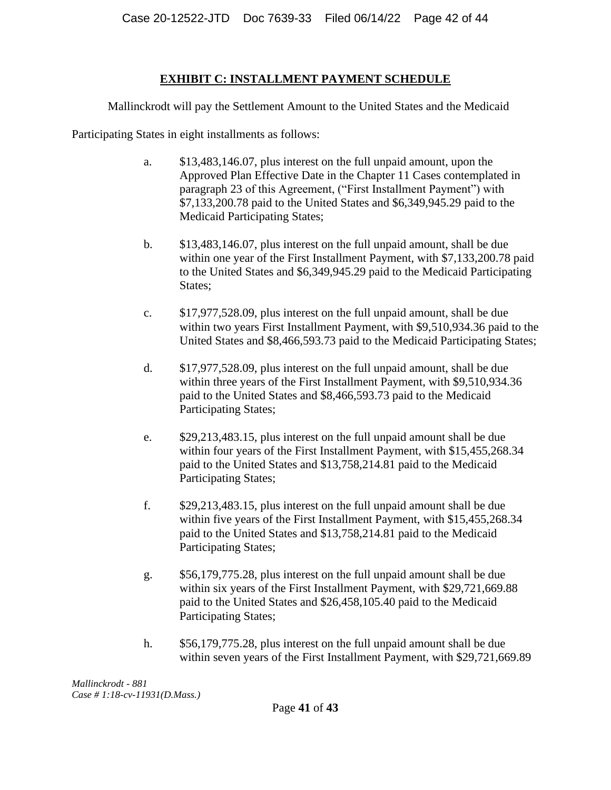# **EXHIBIT C: INSTALLMENT PAYMENT SCHEDULE**

Mallinckrodt will pay the Settlement Amount to the United States and the Medicaid

Participating States in eight installments as follows:

- a. \$13,483,146.07, plus interest on the full unpaid amount, upon the Approved Plan Effective Date in the Chapter 11 Cases contemplated in paragraph 23 of this Agreement, ("First Installment Payment") with \$7,133,200.78 paid to the United States and \$6,349,945.29 paid to the Medicaid Participating States;
- b. \$13,483,146.07, plus interest on the full unpaid amount, shall be due within one year of the First Installment Payment, with \$7,133,200.78 paid to the United States and \$6,349,945.29 paid to the Medicaid Participating States;
- c. \$17,977,528.09, plus interest on the full unpaid amount, shall be due within two years First Installment Payment, with \$9,510,934.36 paid to the United States and \$8,466,593.73 paid to the Medicaid Participating States;
- d. \$17,977,528.09, plus interest on the full unpaid amount, shall be due within three years of the First Installment Payment, with \$9,510,934.36 paid to the United States and \$8,466,593.73 paid to the Medicaid Participating States;
- e. \$29,213,483.15, plus interest on the full unpaid amount shall be due within four years of the First Installment Payment, with \$15,455,268.34 paid to the United States and \$13,758,214.81 paid to the Medicaid Participating States;
- f. \$29,213,483.15, plus interest on the full unpaid amount shall be due within five years of the First Installment Payment, with \$15,455,268.34 paid to the United States and \$13,758,214.81 paid to the Medicaid Participating States;
- g. \$56,179,775.28, plus interest on the full unpaid amount shall be due within six years of the First Installment Payment, with \$29,721,669.88 paid to the United States and \$26,458,105.40 paid to the Medicaid Participating States;
- h. \$56,179,775.28, plus interest on the full unpaid amount shall be due within seven years of the First Installment Payment, with \$29,721,669.89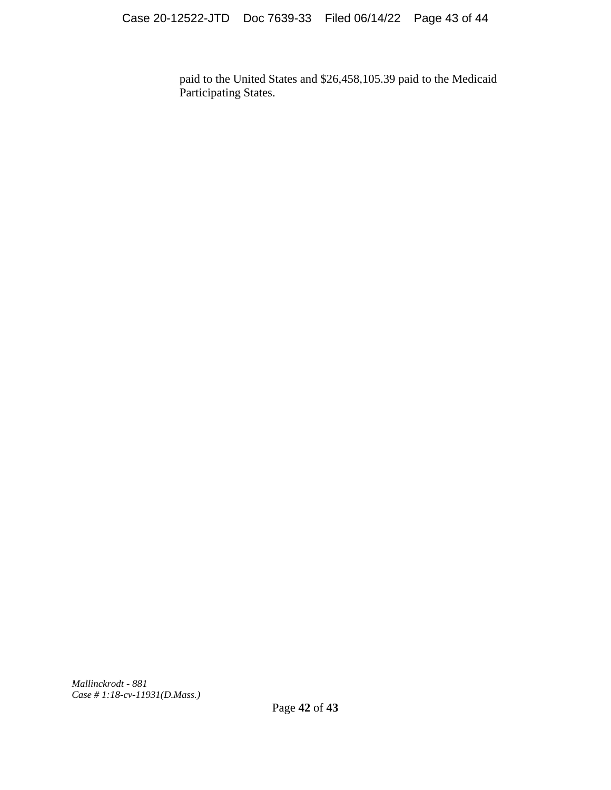paid to the United States and \$26,458,105.39 paid to the Medicaid Participating States.